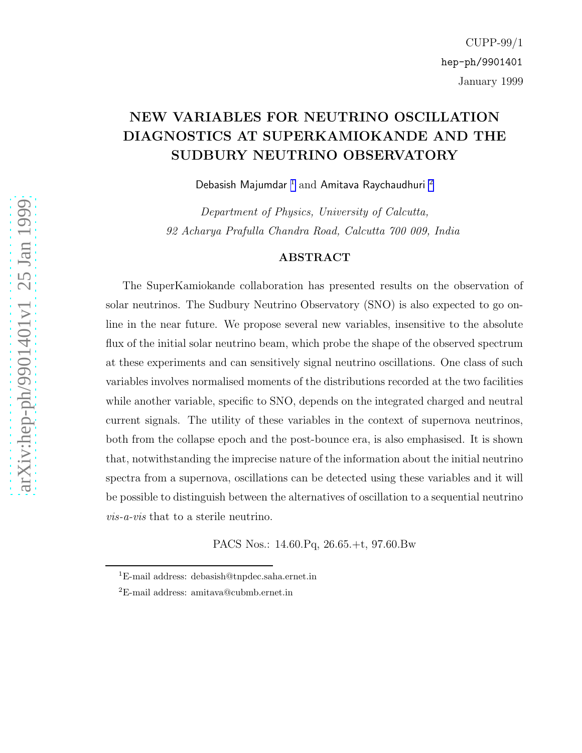# NEW VARIABLES FOR NEUTRINO OSCILLATION DIAGNOSTICS AT SUPERKAMIOKANDE AND THE SUDBURY NEUTRINO OBSERVATORY

Debasish Majumdar  $^1$  and Amitava Raychaudhuri  $^2$ 

Department of Physics, University of Calcutta, 92 Acharya Prafulla Chandra Road, Calcutta 700 009, India

#### ABSTRACT

The SuperKamiokande collaboration has presented results on the observation of solar neutrinos. The Sudbury Neutrino Observatory (SNO) is also expected to go online in the near future. We propose several new variables, insensitive to the absolute flux of the initial solar neutrino beam, which probe the shape of the observed spectrum at these experiments and can sensitively signal neutrino oscillations. One class of such variables involves normalised moments of the distributions recorded at the two facilities while another variable, specific to SNO, depends on the integrated charged and neutral current signals. The utility of these variables in the context of supernova neutrinos, both from the collapse epoch and the post-bounce era, is also emphasised. It is shown that, notwithstanding the imprecise nature of the information about the initial neutrino spectra from a supernova, oscillations can be detected using these variables and it will be possible to distinguish between the alternatives of oscillation to a sequential neutrino vis-a-vis that to a sterile neutrino.

PACS Nos.: 14.60.Pq, 26.65.+t, 97.60.Bw

<sup>1</sup>E-mail address: debasish@tnpdec.saha.ernet.in

<sup>2</sup>E-mail address: amitava@cubmb.ernet.in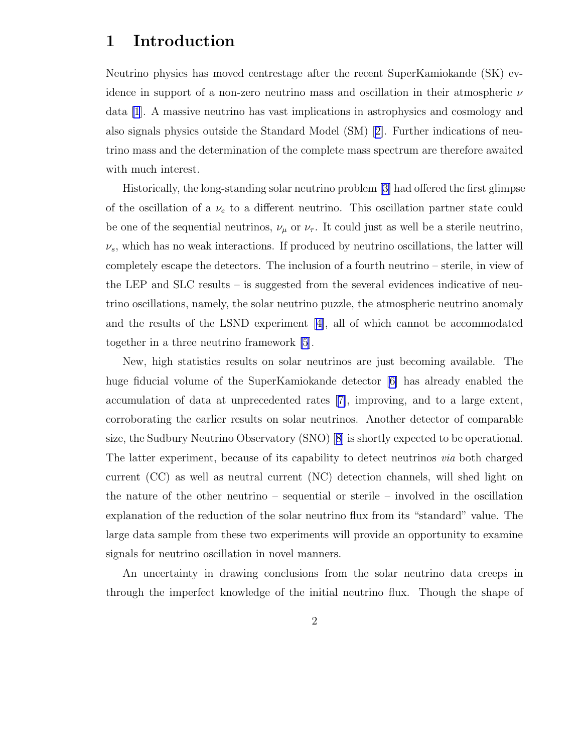### 1 Introduction

Neutrino physics has moved centrestage after the recent SuperKamiokande (SK) evidence in support of a non-zero neutrino mass and oscillation in their atmospheric  $\nu$ data [\[1](#page-20-0)]. A massive neutrino has vast implications in astrophysics and cosmology and also signals physics outside the Standard Model (SM)[[2\]](#page-20-0). Further indications of neutrino mass and the determination of the complete mass spectrum are therefore awaited with much interest.

Historically, the long-standing solar neutrino problem[[3\]](#page-20-0) had offered the first glimpse of the oscillation of a  $\nu_e$  to a different neutrino. This oscillation partner state could be one of the sequential neutrinos,  $\nu_{\mu}$  or  $\nu_{\tau}$ . It could just as well be a sterile neutrino,  $\nu_s$ , which has no weak interactions. If produced by neutrino oscillations, the latter will completely escape the detectors. The inclusion of a fourth neutrino – sterile, in view of the LEP and SLC results – is suggested from the several evidences indicative of neutrino oscillations, namely, the solar neutrino puzzle, the atmospheric neutrino anomaly and the results of the LSND experiment[[4\]](#page-20-0), all of which cannot be accommodated together in a three neutrino framework [\[5](#page-20-0)].

New, high statistics results on solar neutrinos are just becoming available. The huge fiducial volume of the SuperKamiokande detector [\[6\]](#page-20-0) has already enabled the accumulation of data at unprecedented rates[[7\]](#page-20-0), improving, and to a large extent, corroborating the earlier results on solar neutrinos. Another detector of comparable size, the Sudbury Neutrino Observatory (SNO)[[8](#page-20-0)] is shortly expected to be operational. The latter experiment, because of its capability to detect neutrinos *via* both charged current (CC) as well as neutral current (NC) detection channels, will shed light on the nature of the other neutrino – sequential or sterile – involved in the oscillation explanation of the reduction of the solar neutrino flux from its "standard" value. The large data sample from these two experiments will provide an opportunity to examine signals for neutrino oscillation in novel manners.

An uncertainty in drawing conclusions from the solar neutrino data creeps in through the imperfect knowledge of the initial neutrino flux. Though the shape of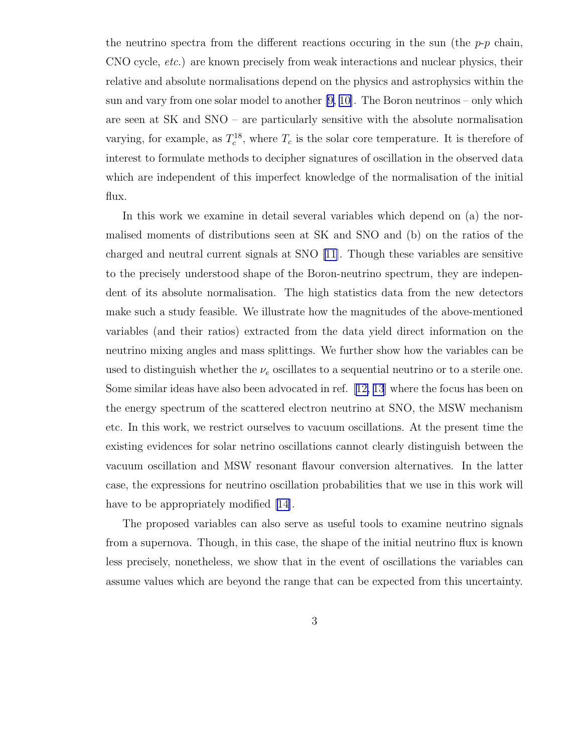the neutrino spectra from the different reactions occuring in the sun (the  $p-p$  chain, CNO cycle, etc.) are known precisely from weak interactions and nuclear physics, their relative and absolute normalisations depend on the physics and astrophysics within the sun and vary from one solar model to another  $[9, 10]$ . The Boron neutrinos – only which are seen at SK and SNO – are particularly sensitive with the absolute normalisation varying, for example, as  $T_c^{18}$ <sup>18</sup>, where  $T_c$  is the solar core temperature. It is therefore of interest to formulate methods to decipher signatures of oscillation in the observed data which are independent of this imperfect knowledge of the normalisation of the initial flux.

In this work we examine in detail several variables which depend on (a) the normalised moments of distributions seen at SK and SNO and (b) on the ratios of the charged and neutral current signals at SNO [\[11\]](#page-20-0). Though these variables are sensitive to the precisely understood shape of the Boron-neutrino spectrum, they are independent of its absolute normalisation. The high statistics data from the new detectors make such a study feasible. We illustrate how the magnitudes of the above-mentioned variables (and their ratios) extracted from the data yield direct information on the neutrino mixing angles and mass splittings. We further show how the variables can be used to distinguish whether the  $\nu_e$  oscillates to a sequential neutrino or to a sterile one. Some similar ideas have also been advocated in ref.[[12, 13](#page-21-0)] where the focus has been on the energy spectrum of the scattered electron neutrino at SNO, the MSW mechanism etc. In this work, we restrict ourselves to vacuum oscillations. At the present time the existing evidences for solar netrino oscillations cannot clearly distinguish between the vacuum oscillation and MSW resonant flavour conversion alternatives. In the latter case, the expressions for neutrino oscillation probabilities that we use in this work will have to be appropriately modified [\[14\]](#page-21-0).

The proposed variables can also serve as useful tools to examine neutrino signals from a supernova. Though, in this case, the shape of the initial neutrino flux is known less precisely, nonetheless, we show that in the event of oscillations the variables can assume values which are beyond the range that can be expected from this uncertainty.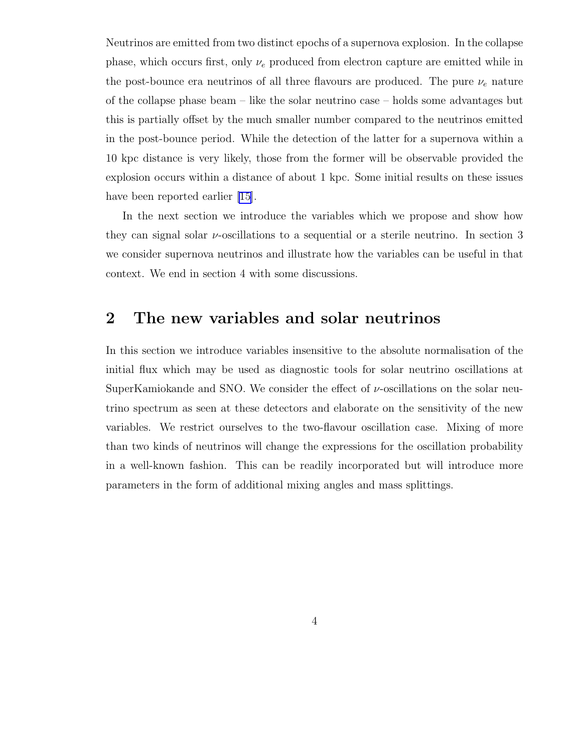Neutrinos are emitted from two distinct epochs of a supernova explosion. In the collapse phase, which occurs first, only  $\nu_e$  produced from electron capture are emitted while in the post-bounce era neutrinos of all three flavours are produced. The pure  $\nu_e$  nature of the collapse phase beam – like the solar neutrino case – holds some advantages but this is partially offset by the much smaller number compared to the neutrinos emitted in the post-bounce period. While the detection of the latter for a supernova within a 10 kpc distance is very likely, those from the former will be observable provided the explosion occurs within a distance of about 1 kpc. Some initial results on these issues have been reported earlier [\[15\]](#page-21-0).

In the next section we introduce the variables which we propose and show how they can signal solar  $\nu$ -oscillations to a sequential or a sterile neutrino. In section 3 we consider supernova neutrinos and illustrate how the variables can be useful in that context. We end in section 4 with some discussions.

## 2 The new variables and solar neutrinos

In this section we introduce variables insensitive to the absolute normalisation of the initial flux which may be used as diagnostic tools for solar neutrino oscillations at SuperKamiokande and SNO. We consider the effect of  $\nu$ -oscillations on the solar neutrino spectrum as seen at these detectors and elaborate on the sensitivity of the new variables. We restrict ourselves to the two-flavour oscillation case. Mixing of more than two kinds of neutrinos will change the expressions for the oscillation probability in a well-known fashion. This can be readily incorporated but will introduce more parameters in the form of additional mixing angles and mass splittings.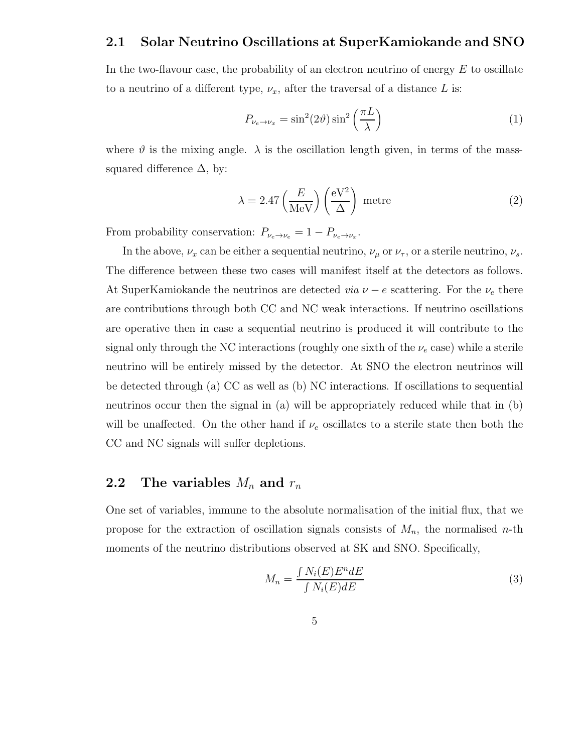### <span id="page-4-0"></span>2.1 Solar Neutrino Oscillations at SuperKamiokande and SNO

In the two-flavour case, the probability of an electron neutrino of energy  $E$  to oscillate to a neutrino of a different type,  $\nu_x$ , after the traversal of a distance L is:

$$
P_{\nu_e \to \nu_x} = \sin^2(2\vartheta) \sin^2\left(\frac{\pi L}{\lambda}\right) \tag{1}
$$

where  $\vartheta$  is the mixing angle.  $\lambda$  is the oscillation length given, in terms of the masssquared difference  $\Delta$ , by:

$$
\lambda = 2.47 \left(\frac{E}{\text{MeV}}\right) \left(\frac{eV^2}{\Delta}\right) \text{ metre} \tag{2}
$$

From probability conservation:  $P_{\nu_e \to \nu_e} = 1 - P_{\nu_e \to \nu_x}$ .

In the above,  $\nu_x$  can be either a sequential neutrino,  $\nu_\mu$  or  $\nu_\tau$ , or a sterile neutrino,  $\nu_s$ . The difference between these two cases will manifest itself at the detectors as follows. At SuperKamiokande the neutrinos are detected *via*  $\nu - e$  scattering. For the  $\nu_e$  there are contributions through both CC and NC weak interactions. If neutrino oscillations are operative then in case a sequential neutrino is produced it will contribute to the signal only through the NC interactions (roughly one sixth of the  $\nu_e$  case) while a sterile neutrino will be entirely missed by the detector. At SNO the electron neutrinos will be detected through (a) CC as well as (b) NC interactions. If oscillations to sequential neutrinos occur then the signal in (a) will be appropriately reduced while that in (b) will be unaffected. On the other hand if  $\nu_e$  oscillates to a sterile state then both the CC and NC signals will suffer depletions.

### 2.2 The variables  $M_n$  and  $r_n$

One set of variables, immune to the absolute normalisation of the initial flux, that we propose for the extraction of oscillation signals consists of  $M_n$ , the normalised n-th moments of the neutrino distributions observed at SK and SNO. Specifically,

$$
M_n = \frac{\int N_i(E)E^n dE}{\int N_i(E) dE} \tag{3}
$$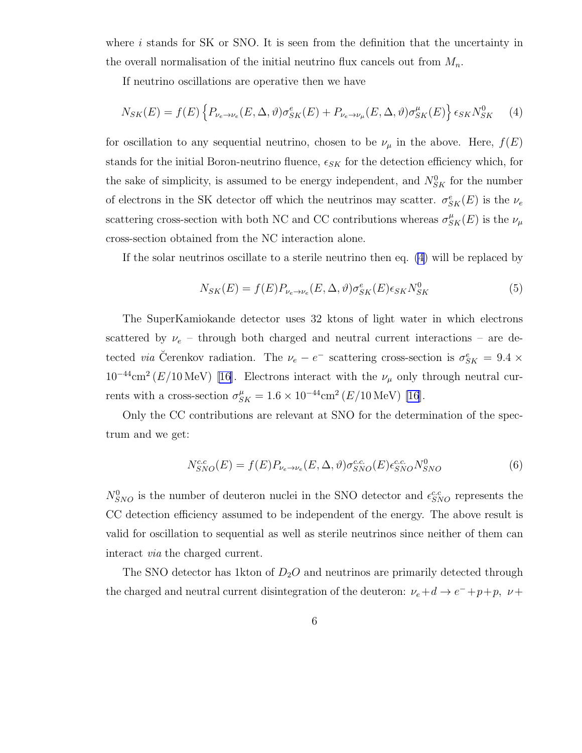<span id="page-5-0"></span>where i stands for SK or SNO. It is seen from the definition that the uncertainty in the overall normalisation of the initial neutrino flux cancels out from  $M_n$ .

If neutrino oscillations are operative then we have

$$
N_{SK}(E) = f(E) \left\{ P_{\nu_e \to \nu_e}(E, \Delta, \vartheta) \sigma_{SK}^e(E) + P_{\nu_e \to \nu_\mu}(E, \Delta, \vartheta) \sigma_{SK}^\mu(E) \right\} \epsilon_{SK} N_{SK}^0 \tag{4}
$$

for oscillation to any sequential neutrino, chosen to be  $\nu_{\mu}$  in the above. Here,  $f(E)$ stands for the initial Boron-neutrino fluence,  $\epsilon_{SK}$  for the detection efficiency which, for the sake of simplicity, is assumed to be energy independent, and  $N_{SK}^0$  for the number of electrons in the SK detector off which the neutrinos may scatter.  $\sigma_{SK}^e(E)$  is the  $\nu_e$ scattering cross-section with both NC and CC contributions whereas  $\sigma_{SK}^{\mu}(E)$  is the  $\nu_{\mu}$ cross-section obtained from the NC interaction alone.

If the solar neutrinos oscillate to a sterile neutrino then eq. (4) will be replaced by

$$
N_{SK}(E) = f(E)P_{\nu_e \to \nu_e}(E, \Delta, \vartheta)\sigma_{SK}^e(E)\epsilon_{SK}N_{SK}^0
$$
\n
$$
(5)
$$

The SuperKamiokande detector uses 32 ktons of light water in which electrons scattered by  $\nu_e$  – through both charged and neutral current interactions – are detected *via* Čerenkov radiation. The  $\nu_e - e^-$  scattering cross-section is  $\sigma_{SK}^e = 9.4 \times$  $10^{-44}$ cm<sup>2</sup> (E/10 MeV) [\[16\]](#page-21-0). Electrons interact with the  $\nu_\mu$  only through neutral currents with a cross-section  $\sigma_{SK}^{\mu} = 1.6 \times 10^{-44} \text{cm}^2 (E/10 \text{ MeV})$  [\[16](#page-21-0)].

Only the CC contributions are relevant at SNO for the determination of the spectrum and we get:

$$
N_{SNO}^{c.c}(E) = f(E)P_{\nu_e \to \nu_e}(E, \Delta, \vartheta)\sigma_{SNO}^{c.c.}(E)\epsilon_{SNO}^{c.c.}N_{SNO}^0
$$
\n(6)

 $N_{SNO}^{0}$  is the number of deuteron nuclei in the SNO detector and  $\epsilon_{SNO}^{c.c}$  represents the CC detection efficiency assumed to be independent of the energy. The above result is valid for oscillation to sequential as well as sterile neutrinos since neither of them can interact via the charged current.

The SNO detector has 1 kton of  $D_2O$  and neutrinos are primarily detected through the charged and neutral current disintegration of the deuteron:  $\nu_e + d \to e^- + p + p$ ,  $\nu +$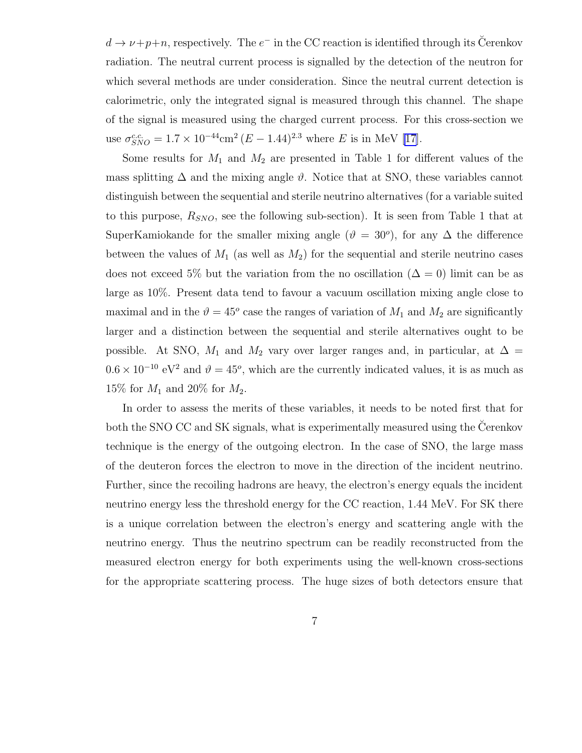$d \to \nu + p + n$ , respectively. The  $e^-$  in the CC reaction is identified through its Cerenkov radiation. The neutral current process is signalled by the detection of the neutron for which several methods are under consideration. Since the neutral current detection is calorimetric, only the integrated signal is measured through this channel. The shape of the signal is measured using the charged current process. For this cross-section we use  $\sigma_{SNO}^{c.c.} = 1.7 \times 10^{-44} \text{cm}^2 (E - 1.44)^{2.3}$  where E is in MeV [\[17\]](#page-21-0).

Some results for  $M_1$  and  $M_2$  are presented in Table 1 for different values of the mass splitting  $\Delta$  and the mixing angle  $\vartheta$ . Notice that at SNO, these variables cannot distinguish between the sequential and sterile neutrino alternatives (for a variable suited to this purpose,  $R_{SNO}$ , see the following sub-section). It is seen from Table 1 that at SuperKamiokande for the smaller mixing angle  $(\vartheta = 30^{\circ})$ , for any  $\Delta$  the difference between the values of  $M_1$  (as well as  $M_2$ ) for the sequential and sterile neutrino cases does not exceed 5% but the variation from the no oscillation ( $\Delta = 0$ ) limit can be as large as 10%. Present data tend to favour a vacuum oscillation mixing angle close to maximal and in the  $\vartheta = 45^{\circ}$  case the ranges of variation of  $M_1$  and  $M_2$  are significantly larger and a distinction between the sequential and sterile alternatives ought to be possible. At SNO,  $M_1$  and  $M_2$  vary over larger ranges and, in particular, at  $\Delta =$  $0.6 \times 10^{-10}$  eV<sup>2</sup> and  $\vartheta = 45^{\circ}$ , which are the currently indicated values, it is as much as 15% for  $M_1$  and 20% for  $M_2$ .

In order to assess the merits of these variables, it needs to be noted first that for both the SNO CC and SK signals, what is experimentally measured using the Cerenkov technique is the energy of the outgoing electron. In the case of SNO, the large mass of the deuteron forces the electron to move in the direction of the incident neutrino. Further, since the recoiling hadrons are heavy, the electron's energy equals the incident neutrino energy less the threshold energy for the CC reaction, 1.44 MeV. For SK there is a unique correlation between the electron's energy and scattering angle with the neutrino energy. Thus the neutrino spectrum can be readily reconstructed from the measured electron energy for both experiments using the well-known cross-sections for the appropriate scattering process. The huge sizes of both detectors ensure that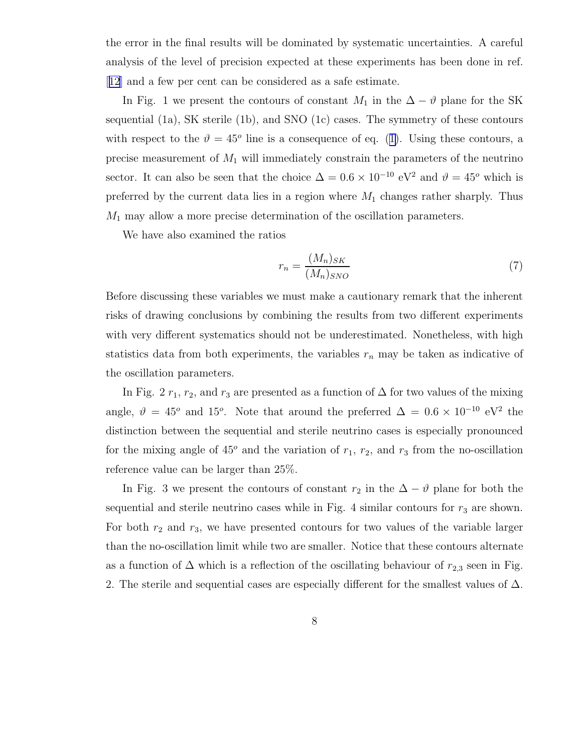<span id="page-7-0"></span>the error in the final results will be dominated by systematic uncertainties. A careful analysis of the level of precision expected at these experiments has been done in ref. [[12](#page-21-0)] and a few per cent can be considered as a safe estimate.

In Fig. 1 we present the contours of constant  $M_1$  in the  $\Delta - \vartheta$  plane for the SK sequential (1a), SK sterile (1b), and SNO (1c) cases. The symmetry of these contours withrespect to the  $\vartheta = 45^{\circ}$  line is a consequence of eq. ([1\)](#page-4-0). Using these contours, a precise measurement of  $M_1$  will immediately constrain the parameters of the neutrino sector. It can also be seen that the choice  $\Delta = 0.6 \times 10^{-10}$  eV<sup>2</sup> and  $\vartheta = 45^{\circ}$  which is preferred by the current data lies in a region where  $M_1$  changes rather sharply. Thus  $M_1$  may allow a more precise determination of the oscillation parameters.

We have also examined the ratios

$$
r_n = \frac{(M_n)_{SK}}{(M_n)_{SNO}}\tag{7}
$$

Before discussing these variables we must make a cautionary remark that the inherent risks of drawing conclusions by combining the results from two different experiments with very different systematics should not be underestimated. Nonetheless, with high statistics data from both experiments, the variables  $r_n$  may be taken as indicative of the oscillation parameters.

In Fig. 2  $r_1$ ,  $r_2$ , and  $r_3$  are presented as a function of  $\Delta$  for two values of the mixing angle,  $\vartheta = 45^{\circ}$  and 15<sup>o</sup>. Note that around the preferred  $\Delta = 0.6 \times 10^{-10}$  eV<sup>2</sup> the distinction between the sequential and sterile neutrino cases is especially pronounced for the mixing angle of  $45^{\circ}$  and the variation of  $r_1$ ,  $r_2$ , and  $r_3$  from the no-oscillation reference value can be larger than 25%.

In Fig. 3 we present the contours of constant  $r_2$  in the  $\Delta - \vartheta$  plane for both the sequential and sterile neutrino cases while in Fig. 4 similar contours for  $r_3$  are shown. For both  $r_2$  and  $r_3$ , we have presented contours for two values of the variable larger than the no-oscillation limit while two are smaller. Notice that these contours alternate as a function of  $\Delta$  which is a reflection of the oscillating behaviour of  $r_{2,3}$  seen in Fig. 2. The sterile and sequential cases are especially different for the smallest values of  $\Delta$ .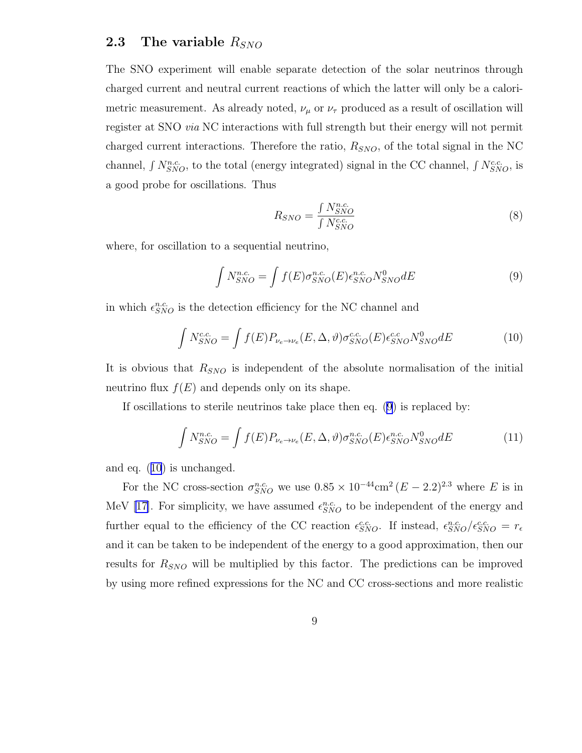### <span id="page-8-0"></span>2.3 The variable  $R_{SNO}$

The SNO experiment will enable separate detection of the solar neutrinos through charged current and neutral current reactions of which the latter will only be a calorimetric measurement. As already noted,  $\nu_{\mu}$  or  $\nu_{\tau}$  produced as a result of oscillation will register at SNO via NC interactions with full strength but their energy will not permit charged current interactions. Therefore the ratio,  $R_{SNO}$ , of the total signal in the NC channel,  $\int N_{SNO}^{n.c.}$ , to the total (energy integrated) signal in the CC channel,  $\int N_{SNO}^{c.c.}$ , is a good probe for oscillations. Thus

$$
R_{SNO} = \frac{\int N_{SNO}^{n.c.}}{\int N_{SNO}^{c.c.}}\tag{8}
$$

where, for oscillation to a sequential neutrino,

$$
\int N_{SNO}^{n.c.} = \int f(E)\sigma_{SNO}^{n.c.}(E)\epsilon_{SNO}^{n.c.}N_{SNO}^{0}dE
$$
\n(9)

in which  $\epsilon_{SNO}^{n.c.}$  is the detection efficiency for the NC channel and

$$
\int N_{SNO}^{c.c.} = \int f(E) P_{\nu_e \to \nu_e}(E, \Delta, \vartheta) \sigma_{SNO}^{c.c.}(E) \epsilon_{SNO}^{c.c.} N_{SNO}^{0} dE \tag{10}
$$

It is obvious that  $R_{SNO}$  is independent of the absolute normalisation of the initial neutrino flux  $f(E)$  and depends only on its shape.

If oscillations to sterile neutrinos take place then eq. (9) is replaced by:

$$
\int N_{SNO}^{n.c.} = \int f(E) P_{\nu_e \to \nu_e}(E, \Delta, \vartheta) \sigma_{SNO}^{n.c.}(E) \epsilon_{SNO}^{n.c.} N_{SNO}^0 dE \tag{11}
$$

and eq. (10) is unchanged.

For the NC cross-section  $\sigma_{SNO}^{n.c.}$  we use  $0.85 \times 10^{-44}$ cm<sup>2</sup> ( $E - 2.2$ )<sup>2.3</sup> where E is in MeV [\[17\]](#page-21-0). For simplicity, we have assumed  $\epsilon_{SNO}^{n.c.}$  to be independent of the energy and further equal to the efficiency of the CC reaction  $\epsilon_{SNO}^{c.c.}$ . If instead,  $\epsilon_{SNO}^{n.c.}/\epsilon_{SNO}^{c.c.} = r_{\epsilon}$ and it can be taken to be independent of the energy to a good approximation, then our results for  $R_{SNO}$  will be multiplied by this factor. The predictions can be improved by using more refined expressions for the NC and CC cross-sections and more realistic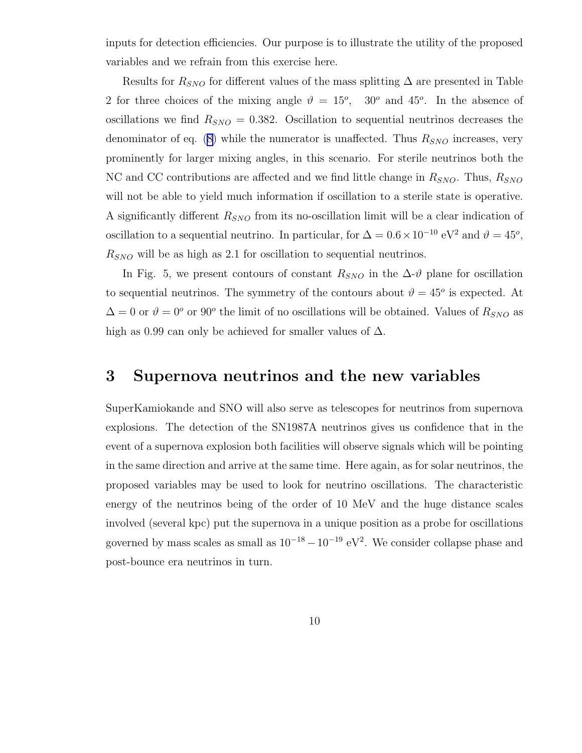inputs for detection efficiencies. Our purpose is to illustrate the utility of the proposed variables and we refrain from this exercise here.

Results for  $R_{SNO}$  for different values of the mass splitting  $\Delta$  are presented in Table 2 for three choices of the mixing angle  $\vartheta = 15^{\circ}$ , 30° and 45°. In the absence of oscillations we find  $R_{SNO} = 0.382$ . Oscillation to sequential neutrinos decreases the denominatorof eq.  $(8)$  $(8)$  while the numerator is unaffected. Thus  $R_{SNO}$  increases, very prominently for larger mixing angles, in this scenario. For sterile neutrinos both the NC and CC contributions are affected and we find little change in  $R_{SNO}$ . Thus,  $R_{SNO}$ will not be able to yield much information if oscillation to a sterile state is operative. A significantly different  $R_{SNO}$  from its no-oscillation limit will be a clear indication of oscillation to a sequential neutrino. In particular, for  $\Delta = 0.6 \times 10^{-10}$  eV<sup>2</sup> and  $\vartheta = 45^{\circ}$ ,  $R_{SNO}$  will be as high as 2.1 for oscillation to sequential neutrinos.

In Fig. 5, we present contours of constant  $R_{SNO}$  in the  $\Delta \vartheta$  plane for oscillation to sequential neutrinos. The symmetry of the contours about  $\vartheta = 45^{\circ}$  is expected. At  $\Delta = 0$  or  $\vartheta = 0^{\circ}$  or  $90^{\circ}$  the limit of no oscillations will be obtained. Values of  $R_{SNO}$  as high as 0.99 can only be achieved for smaller values of  $\Delta$ .

### 3 Supernova neutrinos and the new variables

SuperKamiokande and SNO will also serve as telescopes for neutrinos from supernova explosions. The detection of the SN1987A neutrinos gives us confidence that in the event of a supernova explosion both facilities will observe signals which will be pointing in the same direction and arrive at the same time. Here again, as for solar neutrinos, the proposed variables may be used to look for neutrino oscillations. The characteristic energy of the neutrinos being of the order of 10 MeV and the huge distance scales involved (several kpc) put the supernova in a unique position as a probe for oscillations governed by mass scales as small as  $10^{-18} - 10^{-19}$  eV<sup>2</sup>. We consider collapse phase and post-bounce era neutrinos in turn.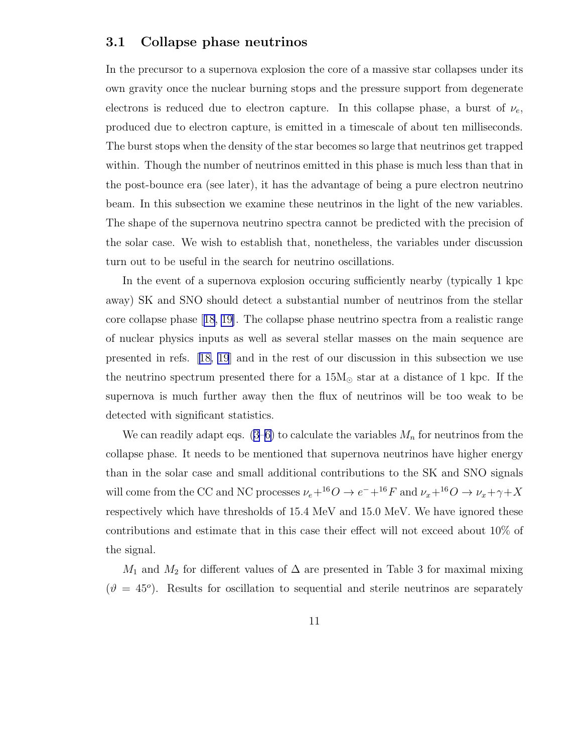#### 3.1 Collapse phase neutrinos

In the precursor to a supernova explosion the core of a massive star collapses under its own gravity once the nuclear burning stops and the pressure support from degenerate electrons is reduced due to electron capture. In this collapse phase, a burst of  $\nu_e$ , produced due to electron capture, is emitted in a timescale of about ten milliseconds. The burst stops when the density of the star becomes so large that neutrinos get trapped within. Though the number of neutrinos emitted in this phase is much less than that in the post-bounce era (see later), it has the advantage of being a pure electron neutrino beam. In this subsection we examine these neutrinos in the light of the new variables. The shape of the supernova neutrino spectra cannot be predicted with the precision of the solar case. We wish to establish that, nonetheless, the variables under discussion turn out to be useful in the search for neutrino oscillations.

In the event of a supernova explosion occuring sufficiently nearby (typically 1 kpc away) SK and SNO should detect a substantial number of neutrinos from the stellar core collapse phase[[18](#page-21-0), [19\]](#page-21-0). The collapse phase neutrino spectra from a realistic range of nuclear physics inputs as well as several stellar masses on the main sequence are presented in refs.[[18, 19](#page-21-0)] and in the rest of our discussion in this subsection we use the neutrino spectrum presented there for a  $15M_{\odot}$  star at a distance of 1 kpc. If the supernova is much further away then the flux of neutrinos will be too weak to be detected with significant statistics.

We can readily adapt eqs.  $(3-6)$  $(3-6)$  to calculate the variables  $M_n$  for neutrinos from the collapse phase. It needs to be mentioned that supernova neutrinos have higher energy than in the solar case and small additional contributions to the SK and SNO signals will come from the CC and NC processes  $\nu_e + ^{16}O \rightarrow e^- + ^{16}F$  and  $\nu_x + ^{16}O \rightarrow \nu_x + \gamma + X$ respectively which have thresholds of 15.4 MeV and 15.0 MeV. We have ignored these contributions and estimate that in this case their effect will not exceed about 10% of the signal.

 $M_1$  and  $M_2$  for different values of  $\Delta$  are presented in Table 3 for maximal mixing  $(\vartheta = 45^{\circ})$ . Results for oscillation to sequential and sterile neutrinos are separately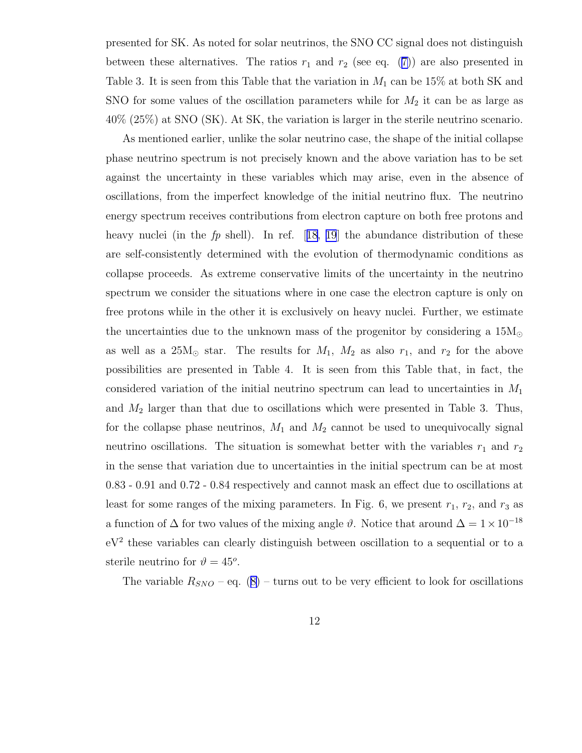presented for SK. As noted for solar neutrinos, the SNO CC signal does not distinguish betweenthese alternatives. The ratios  $r_1$  and  $r_2$  (see eq. ([7\)](#page-7-0)) are also presented in Table 3. It is seen from this Table that the variation in  $M_1$  can be 15% at both SK and SNO for some values of the oscillation parameters while for  $M_2$  it can be as large as 40% (25%) at SNO (SK). At SK, the variation is larger in the sterile neutrino scenario.

As mentioned earlier, unlike the solar neutrino case, the shape of the initial collapse phase neutrino spectrum is not precisely known and the above variation has to be set against the uncertainty in these variables which may arise, even in the absence of oscillations, from the imperfect knowledge of the initial neutrino flux. The neutrino energy spectrum receives contributions from electron capture on both free protons and heavynuclei (in the  $fp$  shell). In ref. [[18](#page-21-0), [19](#page-21-0)] the abundance distribution of these are self-consistently determined with the evolution of thermodynamic conditions as collapse proceeds. As extreme conservative limits of the uncertainty in the neutrino spectrum we consider the situations where in one case the electron capture is only on free protons while in the other it is exclusively on heavy nuclei. Further, we estimate the uncertainties due to the unknown mass of the progenitor by considering a  $15M_{\odot}$ as well as a  $25M_{\odot}$  star. The results for  $M_1$ ,  $M_2$  as also  $r_1$ , and  $r_2$  for the above possibilities are presented in Table 4. It is seen from this Table that, in fact, the considered variation of the initial neutrino spectrum can lead to uncertainties in  $M_1$ and  $M_2$  larger than that due to oscillations which were presented in Table 3. Thus, for the collapse phase neutrinos,  $M_1$  and  $M_2$  cannot be used to unequivocally signal neutrino oscillations. The situation is somewhat better with the variables  $r_1$  and  $r_2$ in the sense that variation due to uncertainties in the initial spectrum can be at most 0.83 - 0.91 and 0.72 - 0.84 respectively and cannot mask an effect due to oscillations at least for some ranges of the mixing parameters. In Fig. 6, we present  $r_1$ ,  $r_2$ , and  $r_3$  as a function of  $\Delta$  for two values of the mixing angle  $\vartheta$ . Notice that around  $\Delta = 1 \times 10^{-18}$ eV<sup>2</sup> these variables can clearly distinguish between oscillation to a sequential or to a sterile neutrino for  $\vartheta = 45^o$ .

Thevariable  $R_{SNO}$  – eq. ([8\)](#page-8-0) – turns out to be very efficient to look for oscillations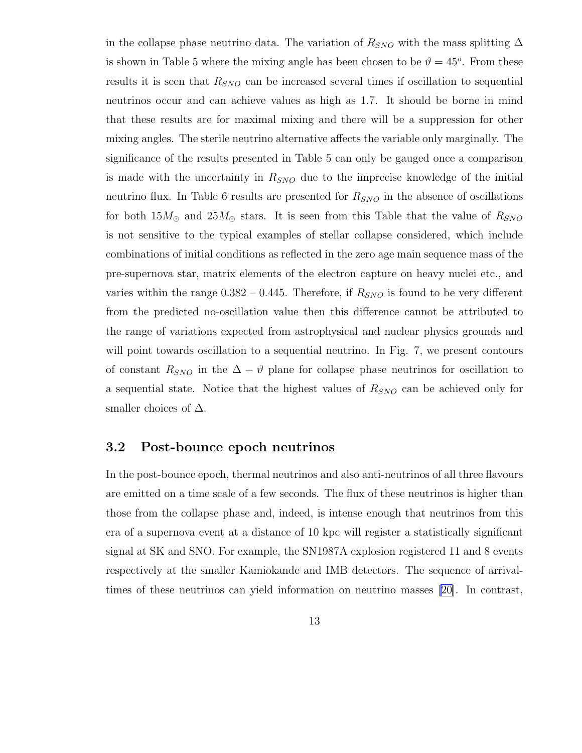in the collapse phase neutrino data. The variation of  $R_{SNO}$  with the mass splitting  $\Delta$ is shown in Table 5 where the mixing angle has been chosen to be  $\vartheta = 45^{\circ}$ . From these results it is seen that  $R_{SNO}$  can be increased several times if oscillation to sequential neutrinos occur and can achieve values as high as 1.7. It should be borne in mind that these results are for maximal mixing and there will be a suppression for other mixing angles. The sterile neutrino alternative affects the variable only marginally. The significance of the results presented in Table 5 can only be gauged once a comparison is made with the uncertainty in  $R_{SNO}$  due to the imprecise knowledge of the initial neutrino flux. In Table 6 results are presented for  $R_{SNO}$  in the absence of oscillations for both  $15M_{\odot}$  and  $25M_{\odot}$  stars. It is seen from this Table that the value of  $R_{SNO}$ is not sensitive to the typical examples of stellar collapse considered, which include combinations of initial conditions as reflected in the zero age main sequence mass of the pre-supernova star, matrix elements of the electron capture on heavy nuclei etc., and varies within the range  $0.382 - 0.445$ . Therefore, if  $R_{SNO}$  is found to be very different from the predicted no-oscillation value then this difference cannot be attributed to the range of variations expected from astrophysical and nuclear physics grounds and will point towards oscillation to a sequential neutrino. In Fig. 7, we present contours of constant  $R_{SNO}$  in the  $\Delta - \vartheta$  plane for collapse phase neutrinos for oscillation to a sequential state. Notice that the highest values of  $R_{SNO}$  can be achieved only for smaller choices of  $\Delta$ .

#### 3.2 Post-bounce epoch neutrinos

In the post-bounce epoch, thermal neutrinos and also anti-neutrinos of all three flavours are emitted on a time scale of a few seconds. The flux of these neutrinos is higher than those from the collapse phase and, indeed, is intense enough that neutrinos from this era of a supernova event at a distance of 10 kpc will register a statistically significant signal at SK and SNO. For example, the SN1987A explosion registered 11 and 8 events respectively at the smaller Kamiokande and IMB detectors. The sequence of arrivaltimes of these neutrinos can yield information on neutrino masses [\[20](#page-21-0)]. In contrast,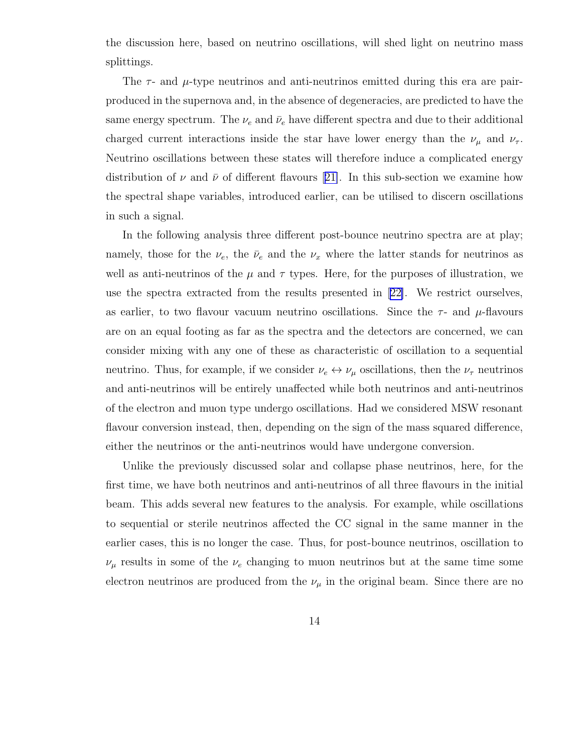the discussion here, based on neutrino oscillations, will shed light on neutrino mass splittings.

The  $\tau$ - and  $\mu$ -type neutrinos and anti-neutrinos emitted during this era are pairproduced in the supernova and, in the absence of degeneracies, are predicted to have the same energy spectrum. The  $\nu_e$  and  $\bar{\nu}_e$  have different spectra and due to their additional charged current interactions inside the star have lower energy than the  $\nu_{\mu}$  and  $\nu_{\tau}$ . Neutrino oscillations between these states will therefore induce a complicated energy distributionof  $\nu$  and  $\bar{\nu}$  of different flavours [[21\]](#page-21-0). In this sub-section we examine how the spectral shape variables, introduced earlier, can be utilised to discern oscillations in such a signal.

In the following analysis three different post-bounce neutrino spectra are at play; namely, those for the  $\nu_e$ , the  $\bar{\nu}_e$  and the  $\nu_x$  where the latter stands for neutrinos as well as anti-neutrinos of the  $\mu$  and  $\tau$  types. Here, for the purposes of illustration, we use the spectra extracted from the results presented in[[22\]](#page-21-0). We restrict ourselves, as earlier, to two flavour vacuum neutrino oscillations. Since the  $\tau$ - and  $\mu$ -flavours are on an equal footing as far as the spectra and the detectors are concerned, we can consider mixing with any one of these as characteristic of oscillation to a sequential neutrino. Thus, for example, if we consider  $\nu_e \leftrightarrow \nu_\mu$  oscillations, then the  $\nu_\tau$  neutrinos and anti-neutrinos will be entirely unaffected while both neutrinos and anti-neutrinos of the electron and muon type undergo oscillations. Had we considered MSW resonant flavour conversion instead, then, depending on the sign of the mass squared difference, either the neutrinos or the anti-neutrinos would have undergone conversion.

Unlike the previously discussed solar and collapse phase neutrinos, here, for the first time, we have both neutrinos and anti-neutrinos of all three flavours in the initial beam. This adds several new features to the analysis. For example, while oscillations to sequential or sterile neutrinos affected the CC signal in the same manner in the earlier cases, this is no longer the case. Thus, for post-bounce neutrinos, oscillation to  $\nu_{\mu}$  results in some of the  $\nu_e$  changing to muon neutrinos but at the same time some electron neutrinos are produced from the  $\nu_{\mu}$  in the original beam. Since there are no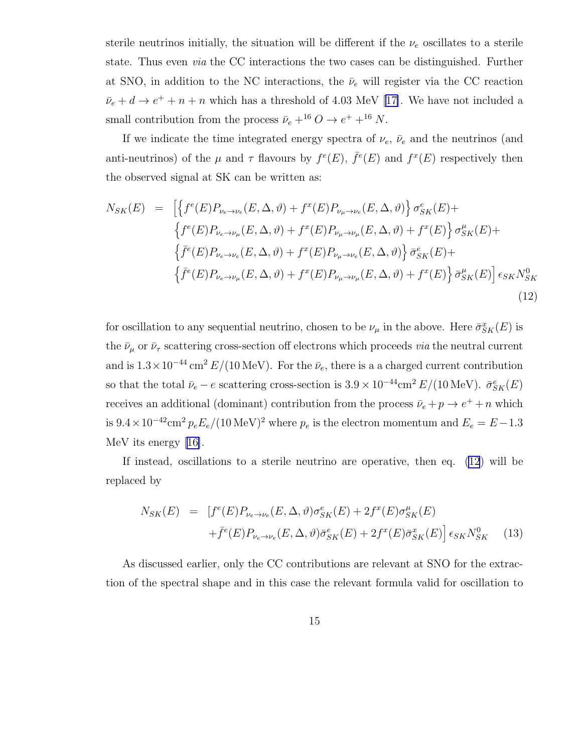sterile neutrinos initially, the situation will be different if the  $\nu_e$  oscillates to a sterile state. Thus even via the CC interactions the two cases can be distinguished. Further at SNO, in addition to the NC interactions, the  $\bar{\nu}_e$  will register via the CC reaction  $\bar{\nu}_e + d \rightarrow e^+ + n + n$  which has a threshold of 4.03 MeV [\[17\]](#page-21-0). We have not included a small contribution from the process  $\bar{\nu}_e + ^{16}O \rightarrow e^+ + ^{16}N$ .

If we indicate the time integrated energy spectra of  $\nu_e$ ,  $\bar{\nu}_e$  and the neutrinos (and anti-neutrinos) of the  $\mu$  and  $\tau$  flavours by  $f^e(E)$ ,  $\bar{f}^e(E)$  and  $f^x(E)$  respectively then the observed signal at SK can be written as:

$$
N_{SK}(E) = \left[ \left\{ f^{e}(E)P_{\nu_{e}\to\nu_{e}}(E,\Delta,\vartheta) + f^{x}(E)P_{\nu_{\mu}\to\nu_{e}}(E,\Delta,\vartheta) \right\} \sigma_{SK}^{e}(E) + \right. \\ \left\{ f^{e}(E)P_{\nu_{e}\to\nu_{\mu}}(E,\Delta,\vartheta) + f^{x}(E)P_{\nu_{\mu}\to\nu_{\mu}}(E,\Delta,\vartheta) + f^{x}(E) \right\} \sigma_{SK}^{\mu}(E) + \left\{ \bar{f}^{e}(E)P_{\nu_{e}\to\nu_{e}}(E,\Delta,\vartheta) + f^{x}(E)P_{\nu_{\mu}\to\nu_{e}}(E,\Delta,\vartheta) \right\} \bar{\sigma}_{SK}^{e}(E) + \left\{ \bar{f}^{e}(E)P_{\nu_{e}\to\nu_{\mu}}(E,\Delta,\vartheta) + f^{x}(E)P_{\nu_{\mu}\to\nu_{\mu}}(E,\Delta,\vartheta) + f^{x}(E) \right\} \bar{\sigma}_{SK}^{\mu}(E) \right] \epsilon_{SK} N_{SK}^{0}
$$
\n(12)

for oscillation to any sequential neutrino, chosen to be  $\nu_{\mu}$  in the above. Here  $\bar{\sigma}_{SK}^{x}(E)$  is the  $\bar{\nu}_{\mu}$  or  $\bar{\nu}_{\tau}$  scattering cross-section off electrons which proceeds *via* the neutral current and is  $1.3 \times 10^{-44}$  cm<sup>2</sup> E/(10 MeV). For the  $\bar{\nu}_e$ , there is a a charged current contribution so that the total  $\bar{\nu}_e - e$  scattering cross-section is  $3.9 \times 10^{-44}$ cm<sup>2</sup>  $E/(10 \text{ MeV})$ .  $\bar{\sigma}_{SK}^e(E)$ receives an additional (dominant) contribution from the process  $\bar{\nu}_e + p \to e^+ + n$  which is  $9.4 \times 10^{-42}$ cm<sup>2</sup>  $p_eE_e/(10 \text{ MeV})^2$  where  $p_e$  is the electron momentum and  $E_e = E - 1.3$ MeV its energy[[16\]](#page-21-0).

If instead, oscillations to a sterile neutrino are operative, then eq. (12) will be replaced by

$$
N_{SK}(E) = [f^{e}(E)P_{\nu_{e}\to\nu_{e}}(E,\Delta,\vartheta)\sigma_{SK}^{e}(E) + 2f^{x}(E)\sigma_{SK}^{\mu}(E) + \bar{f}^{e}(E)P_{\nu_{e}\to\nu_{e}}(E,\Delta,\vartheta)\bar{\sigma}_{SK}^{e}(E) + 2f^{x}(E)\bar{\sigma}_{SK}^{x}(E)] \epsilon_{SK}N_{SK}^{0}
$$
(13)

As discussed earlier, only the CC contributions are relevant at SNO for the extraction of the spectral shape and in this case the relevant formula valid for oscillation to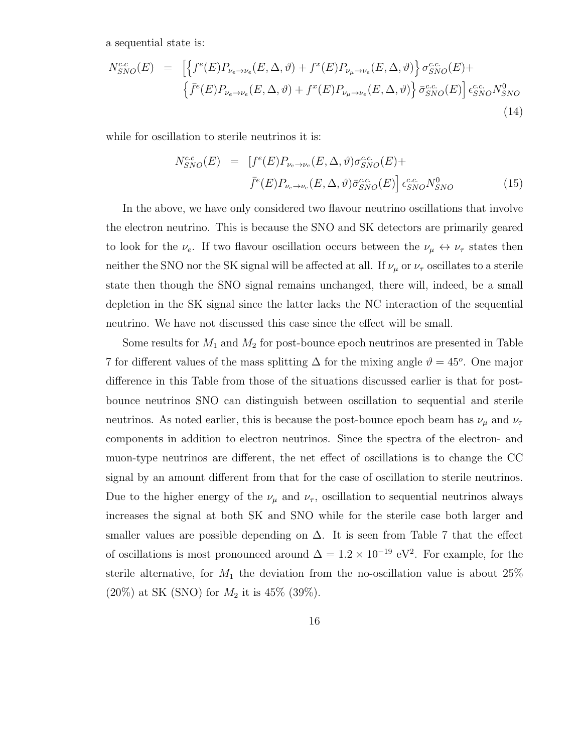<span id="page-15-0"></span>a sequential state is:

$$
N_{SNO}^{c.c}(E) = \left[ \left\{ f^{e}(E) P_{\nu_{e} \to \nu_{e}}(E, \Delta, \vartheta) + f^{x}(E) P_{\nu_{\mu} \to \nu_{e}}(E, \Delta, \vartheta) \right\} \sigma_{SNO}^{c.c.}(E) + \left\{ \bar{f}^{e}(E) P_{\nu_{e} \to \nu_{e}}(E, \Delta, \vartheta) + f^{x}(E) P_{\nu_{\mu} \to \nu_{e}}(E, \Delta, \vartheta) \right\} \bar{\sigma}_{SNO}^{c.c.}(E) \right] \epsilon_{SNO}^{c.c.} N_{SNO}^{0}
$$
\n(14)

while for oscillation to sterile neutrinos it is:

$$
N_{SNO}^{c.c}(E) = [f^{e}(E)P_{\nu_e \to \nu_e}(E, \Delta, \vartheta)\sigma_{SNO}^{c.c.}(E) +
$$
  

$$
\bar{f}^{e}(E)P_{\nu_e \to \nu_e}(E, \Delta, \vartheta)\bar{\sigma}_{SNO}^{c.c.}(E)] \epsilon_{SNO}^{c.c.}N_{SNO}^{0}
$$
(15)

In the above, we have only considered two flavour neutrino oscillations that involve the electron neutrino. This is because the SNO and SK detectors are primarily geared to look for the  $\nu_e$ . If two flavour oscillation occurs between the  $\nu_\mu \leftrightarrow \nu_\tau$  states then neither the SNO nor the SK signal will be affected at all. If  $\nu_{\mu}$  or  $\nu_{\tau}$  oscillates to a sterile state then though the SNO signal remains unchanged, there will, indeed, be a small depletion in the SK signal since the latter lacks the NC interaction of the sequential neutrino. We have not discussed this case since the effect will be small.

Some results for  $M_1$  and  $M_2$  for post-bounce epoch neutrinos are presented in Table 7 for different values of the mass splitting  $\Delta$  for the mixing angle  $\vartheta = 45^{\circ}$ . One major difference in this Table from those of the situations discussed earlier is that for postbounce neutrinos SNO can distinguish between oscillation to sequential and sterile neutrinos. As noted earlier, this is because the post-bounce epoch beam has  $\nu_\mu$  and  $\nu_\tau$ components in addition to electron neutrinos. Since the spectra of the electron- and muon-type neutrinos are different, the net effect of oscillations is to change the CC signal by an amount different from that for the case of oscillation to sterile neutrinos. Due to the higher energy of the  $\nu_{\mu}$  and  $\nu_{\tau}$ , oscillation to sequential neutrinos always increases the signal at both SK and SNO while for the sterile case both larger and smaller values are possible depending on  $\Delta$ . It is seen from Table 7 that the effect of oscillations is most pronounced around  $\Delta = 1.2 \times 10^{-19}$  eV<sup>2</sup>. For example, for the sterile alternative, for  $M_1$  the deviation from the no-oscillation value is about 25%  $(20\%)$  at SK (SNO) for  $M_2$  it is 45% (39%).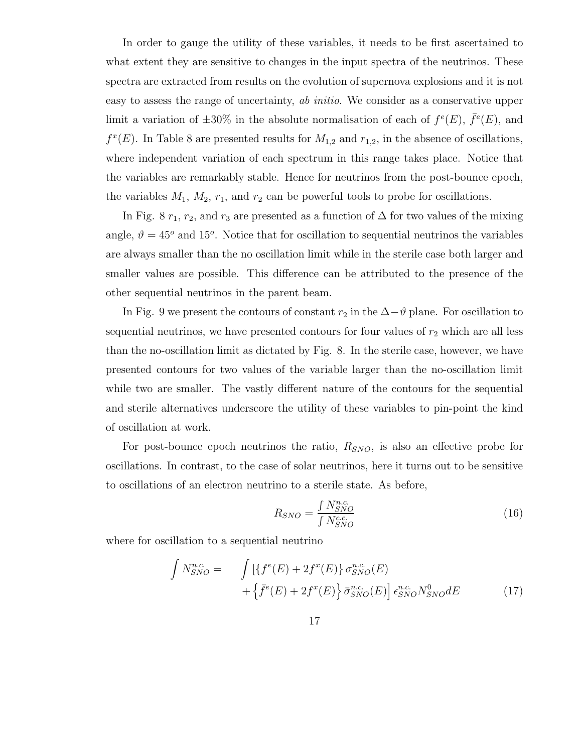In order to gauge the utility of these variables, it needs to be first ascertained to what extent they are sensitive to changes in the input spectra of the neutrinos. These spectra are extracted from results on the evolution of supernova explosions and it is not easy to assess the range of uncertainty, ab initio. We consider as a conservative upper limit a variation of  $\pm 30\%$  in the absolute normalisation of each of  $f^e(E)$ ,  $\bar{f}^e(E)$ , and  $f^x(E)$ . In Table 8 are presented results for  $M_{1,2}$  and  $r_{1,2}$ , in the absence of oscillations, where independent variation of each spectrum in this range takes place. Notice that the variables are remarkably stable. Hence for neutrinos from the post-bounce epoch, the variables  $M_1$ ,  $M_2$ ,  $r_1$ , and  $r_2$  can be powerful tools to probe for oscillations.

In Fig. 8  $r_1$ ,  $r_2$ , and  $r_3$  are presented as a function of  $\Delta$  for two values of the mixing angle,  $\vartheta = 45^{\circ}$  and 15<sup>o</sup>. Notice that for oscillation to sequential neutrinos the variables are always smaller than the no oscillation limit while in the sterile case both larger and smaller values are possible. This difference can be attributed to the presence of the other sequential neutrinos in the parent beam.

In Fig. 9 we present the contours of constant  $r_2$  in the  $\Delta-\vartheta$  plane. For oscillation to sequential neutrinos, we have presented contours for four values of  $r_2$  which are all less than the no-oscillation limit as dictated by Fig. 8. In the sterile case, however, we have presented contours for two values of the variable larger than the no-oscillation limit while two are smaller. The vastly different nature of the contours for the sequential and sterile alternatives underscore the utility of these variables to pin-point the kind of oscillation at work.

For post-bounce epoch neutrinos the ratio,  $R_{SNO}$ , is also an effective probe for oscillations. In contrast, to the case of solar neutrinos, here it turns out to be sensitive to oscillations of an electron neutrino to a sterile state. As before,

$$
R_{SNO} = \frac{\int N_{SNO}^{n.c}}{\int N_{SNO}^{c.c}} \tag{16}
$$

where for oscillation to a sequential neutrino

$$
\int N_{SNO}^{n.c.} = \int \left[ \left\{ f^{e}(E) + 2f^{x}(E) \right\} \sigma_{SNO}^{n.c.}(E) + \left\{ \bar{f}^{e}(E) + 2f^{x}(E) \right\} \bar{\sigma}_{SNO}^{n.c.}(E) \right] \epsilon_{SNO}^{n.c.} N_{SNO}^{0} dE \tag{17}
$$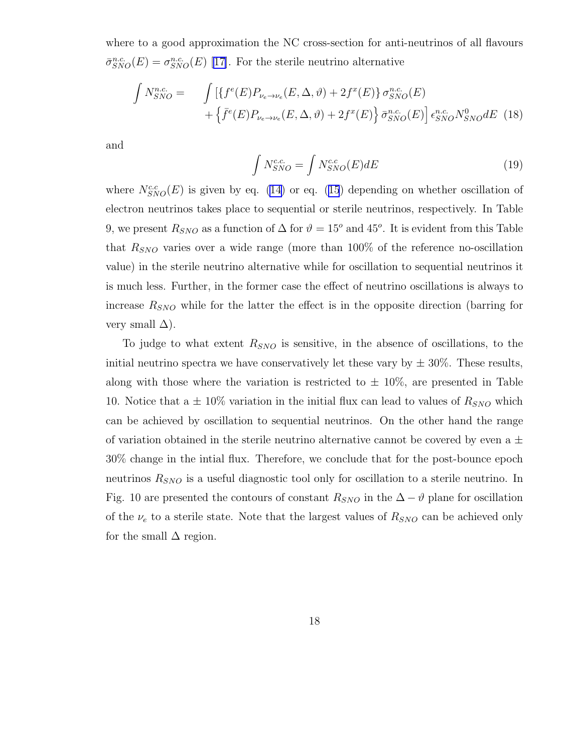where to a good approximation the NC cross-section for anti-neutrinos of all flavours  $\bar{\sigma}_{SNO}^{n.c.}(E) = \sigma_{SNO}^{n.c.}(E)$  [\[17\]](#page-21-0). For the sterile neutrino alternative

$$
\int N_{SNO}^{n.c.} = \int \left[ \{ f^{e}(E) P_{\nu_e \to \nu_e}(E, \Delta, \vartheta) + 2f^{x}(E) \} \sigma_{SNO}^{n.c.}(E) + \left\{ \bar{f}^{e}(E) P_{\nu_e \to \nu_e}(E, \Delta, \vartheta) + 2f^{x}(E) \right\} \bar{\sigma}_{SNO}^{n.c.}(E) \right] \epsilon_{SNO}^{n.c.} N_{SNO}^{0} dE
$$
 (18)

and

$$
\int N_{SNO}^{c.c.} = \int N_{SNO}^{c.c}(E) dE \tag{19}
$$

where $N_{SNO}^{c.c}(E)$  is given by eq. [\(14](#page-15-0)) or eq. ([15](#page-15-0)) depending on whether oscillation of electron neutrinos takes place to sequential or sterile neutrinos, respectively. In Table 9, we present  $R_{SNO}$  as a function of  $\Delta$  for  $\vartheta = 15^{\circ}$  and 45<sup>o</sup>. It is evident from this Table that  $R_{SNO}$  varies over a wide range (more than 100% of the reference no-oscillation value) in the sterile neutrino alternative while for oscillation to sequential neutrinos it is much less. Further, in the former case the effect of neutrino oscillations is always to increase  $R_{SNO}$  while for the latter the effect is in the opposite direction (barring for very small  $\Delta$ ).

To judge to what extent  $R_{SNO}$  is sensitive, in the absence of oscillations, to the initial neutrino spectra we have conservatively let these vary by  $\pm 30\%$ . These results, along with those where the variation is restricted to  $\pm 10\%$ , are presented in Table 10. Notice that a  $\pm$  10% variation in the initial flux can lead to values of  $R_{SNO}$  which can be achieved by oscillation to sequential neutrinos. On the other hand the range of variation obtained in the sterile neutrino alternative cannot be covered by even a  $\pm$ 30% change in the intial flux. Therefore, we conclude that for the post-bounce epoch neutrinos  $R_{SNO}$  is a useful diagnostic tool only for oscillation to a sterile neutrino. In Fig. 10 are presented the contours of constant  $R_{SNO}$  in the  $\Delta - \vartheta$  plane for oscillation of the  $\nu_e$  to a sterile state. Note that the largest values of  $R_{SNO}$  can be achieved only for the small  $\Delta$  region.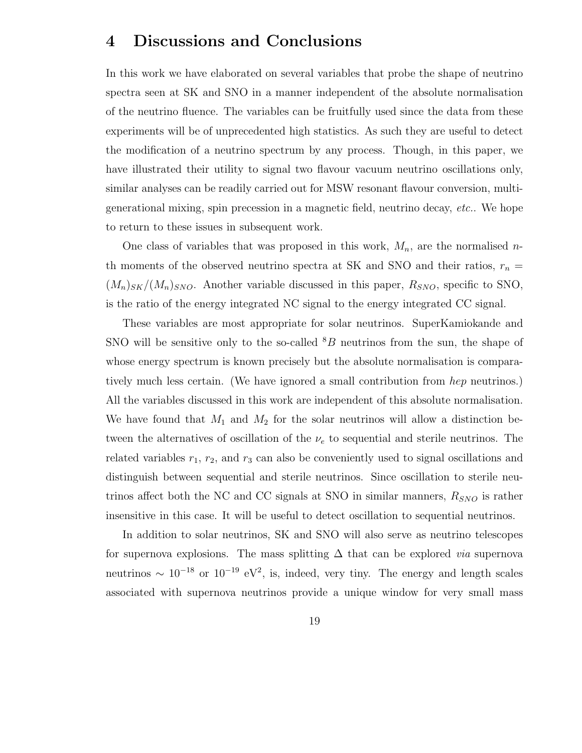### 4 Discussions and Conclusions

In this work we have elaborated on several variables that probe the shape of neutrino spectra seen at SK and SNO in a manner independent of the absolute normalisation of the neutrino fluence. The variables can be fruitfully used since the data from these experiments will be of unprecedented high statistics. As such they are useful to detect the modification of a neutrino spectrum by any process. Though, in this paper, we have illustrated their utility to signal two flavour vacuum neutrino oscillations only, similar analyses can be readily carried out for MSW resonant flavour conversion, multigenerational mixing, spin precession in a magnetic field, neutrino decay, etc.. We hope to return to these issues in subsequent work.

One class of variables that was proposed in this work,  $M_n$ , are the normalised nth moments of the observed neutrino spectra at SK and SNO and their ratios,  $r_n =$  $(M_n)_{SK}/(M_n)_{SNO}$ . Another variable discussed in this paper,  $R_{SNO}$ , specific to SNO, is the ratio of the energy integrated NC signal to the energy integrated CC signal.

These variables are most appropriate for solar neutrinos. SuperKamiokande and SNO will be sensitive only to the so-called  ${}^{8}B$  neutrinos from the sun, the shape of whose energy spectrum is known precisely but the absolute normalisation is comparatively much less certain. (We have ignored a small contribution from hep neutrinos.) All the variables discussed in this work are independent of this absolute normalisation. We have found that  $M_1$  and  $M_2$  for the solar neutrinos will allow a distinction between the alternatives of oscillation of the  $\nu_e$  to sequential and sterile neutrinos. The related variables  $r_1$ ,  $r_2$ , and  $r_3$  can also be conveniently used to signal oscillations and distinguish between sequential and sterile neutrinos. Since oscillation to sterile neutrinos affect both the NC and CC signals at SNO in similar manners,  $R_{SNO}$  is rather insensitive in this case. It will be useful to detect oscillation to sequential neutrinos.

In addition to solar neutrinos, SK and SNO will also serve as neutrino telescopes for supernova explosions. The mass splitting  $\Delta$  that can be explored *via* supernova neutrinos  $\sim 10^{-18}$  or  $10^{-19}$  eV<sup>2</sup>, is, indeed, very tiny. The energy and length scales associated with supernova neutrinos provide a unique window for very small mass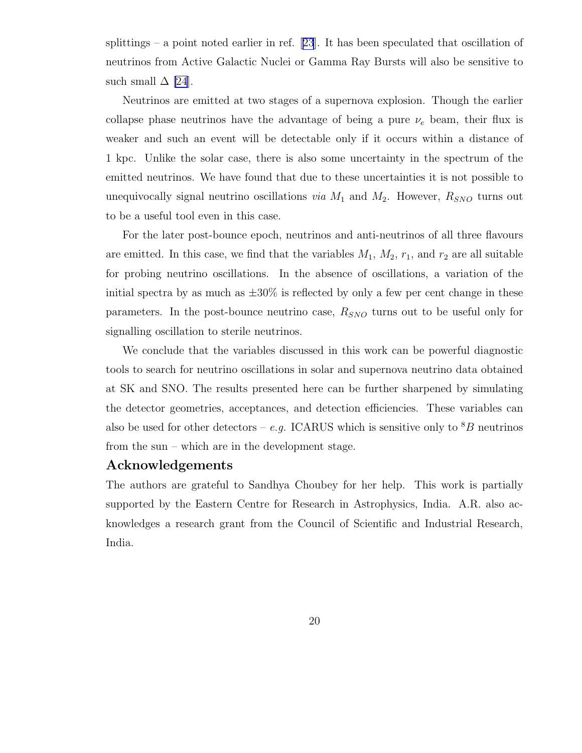splittings– a point noted earlier in ref.  $[23]$  $[23]$  $[23]$ . It has been speculated that oscillation of neutrinos from Active Galactic Nuclei or Gamma Ray Bursts will also be sensitive to such small  $\Delta$  |24|.

Neutrinos are emitted at two stages of a supernova explosion. Though the earlier collapse phase neutrinos have the advantage of being a pure  $\nu_e$  beam, their flux is weaker and such an event will be detectable only if it occurs within a distance of 1 kpc. Unlike the solar case, there is also some uncertainty in the spectrum of the emitted neutrinos. We have found that due to these uncertainties it is not possible to unequivocally signal neutrino oscillations *via*  $M_1$  and  $M_2$ . However,  $R_{SNO}$  turns out to be a useful tool even in this case.

For the later post-bounce epoch, neutrinos and anti-neutrinos of all three flavours are emitted. In this case, we find that the variables  $M_1$ ,  $M_2$ ,  $r_1$ , and  $r_2$  are all suitable for probing neutrino oscillations. In the absence of oscillations, a variation of the initial spectra by as much as  $\pm 30\%$  is reflected by only a few per cent change in these parameters. In the post-bounce neutrino case,  $R_{SNO}$  turns out to be useful only for signalling oscillation to sterile neutrinos.

We conclude that the variables discussed in this work can be powerful diagnostic tools to search for neutrino oscillations in solar and supernova neutrino data obtained at SK and SNO. The results presented here can be further sharpened by simulating the detector geometries, acceptances, and detection efficiencies. These variables can also be used for other detectors – e.g. ICARUS which is sensitive only to  ${}^{8}B$  neutrinos from the sun – which are in the development stage.

#### Acknowledgements

The authors are grateful to Sandhya Choubey for her help. This work is partially supported by the Eastern Centre for Research in Astrophysics, India. A.R. also acknowledges a research grant from the Council of Scientific and Industrial Research, India.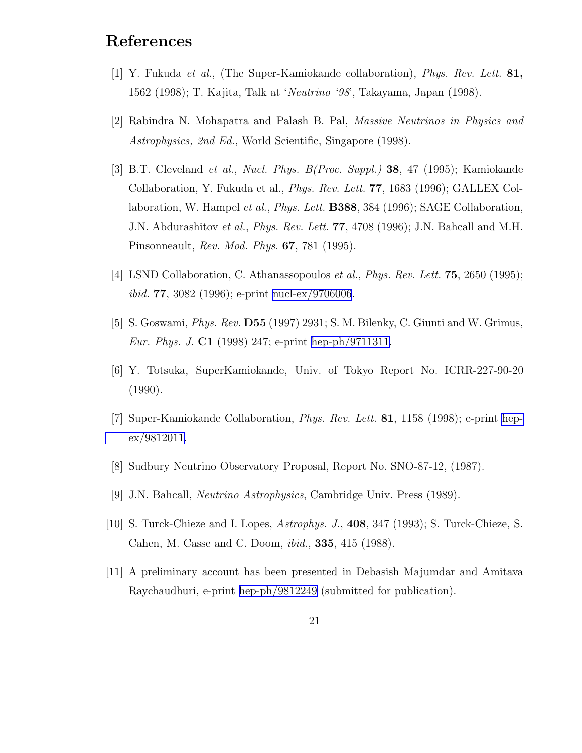## <span id="page-20-0"></span>References

- [1] Y. Fukuda et al., (The Super-Kamiokande collaboration), Phys. Rev. Lett. 81, 1562 (1998); T. Kajita, Talk at 'Neutrino '98', Takayama, Japan (1998).
- [2] Rabindra N. Mohapatra and Palash B. Pal, Massive Neutrinos in Physics and Astrophysics, 2nd Ed., World Scientific, Singapore (1998).
- [3] B.T. Cleveland et al., Nucl. Phys. B(Proc. Suppl.) 38, 47 (1995); Kamiokande Collaboration, Y. Fukuda et al., Phys. Rev. Lett. 77, 1683 (1996); GALLEX Collaboration, W. Hampel et al., Phys. Lett. B388, 384 (1996); SAGE Collaboration, J.N. Abdurashitov et al., Phys. Rev. Lett. 77, 4708 (1996); J.N. Bahcall and M.H. Pinsonneault, Rev. Mod. Phys. 67, 781 (1995).
- [4] LSND Collaboration, C. Athanassopoulos et al., Phys. Rev. Lett. **75**, 2650 (1995); ibid. 77, 3082 (1996); e-print [nucl-ex/9706006](http://arxiv.org/abs/nucl-ex/9706006).
- [5] S. Goswami, Phys. Rev. D55 (1997) 2931; S. M. Bilenky, C. Giunti and W. Grimus, Eur. Phys. J. C1 (1998) 247; e-print [hep-ph/9711311.](http://arxiv.org/abs/hep-ph/9711311)
- [6] Y. Totsuka, SuperKamiokande, Univ. of Tokyo Report No. ICRR-227-90-20 (1990).
- [7] Super-Kamiokande Collaboration, Phys. Rev. Lett. 81, 1158 (1998); e-print [hep](http://arxiv.org/abs/hep-ex/9812011)[ex/9812011.](http://arxiv.org/abs/hep-ex/9812011)
- [8] Sudbury Neutrino Observatory Proposal, Report No. SNO-87-12, (1987).
- [9] J.N. Bahcall, Neutrino Astrophysics, Cambridge Univ. Press (1989).
- [10] S. Turck-Chieze and I. Lopes, Astrophys. J., 408, 347 (1993); S. Turck-Chieze, S. Cahen, M. Casse and C. Doom, ibid., 335, 415 (1988).
- [11] A preliminary account has been presented in Debasish Majumdar and Amitava Raychaudhuri, e-print [hep-ph/9812249](http://arxiv.org/abs/hep-ph/9812249) (submitted for publication).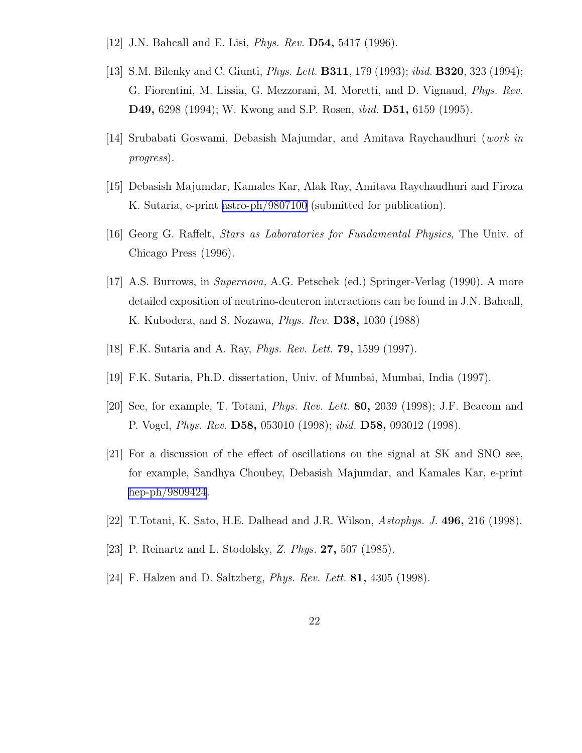- <span id="page-21-0"></span>[12] J.N. Bahcall and E. Lisi, *Phys. Rev.* **D54**, 5417 (1996).
- [13] S.M. Bilenky and C. Giunti, Phys. Lett. B311, 179 (1993); ibid. B320, 323 (1994); G. Fiorentini, M. Lissia, G. Mezzorani, M. Moretti, and D. Vignaud, Phys. Rev. D49, 6298 (1994); W. Kwong and S.P. Rosen, ibid. D51, 6159 (1995).
- [14] Srubabati Goswami, Debasish Majumdar, and Amitava Raychaudhuri (work in progress).
- [15] Debasish Majumdar, Kamales Kar, Alak Ray, Amitava Raychaudhuri and Firoza K. Sutaria, e-print [astro-ph/9807100](http://arxiv.org/abs/astro-ph/9807100) (submitted for publication).
- [16] Georg G. Raffelt, Stars as Laboratories for Fundamental Physics, The Univ. of Chicago Press (1996).
- [17] A.S. Burrows, in Supernova, A.G. Petschek (ed.) Springer-Verlag (1990). A more detailed exposition of neutrino-deuteron interactions can be found in J.N. Bahcall, K. Kubodera, and S. Nozawa, Phys. Rev. D38, 1030 (1988)
- [18] F.K. Sutaria and A. Ray, Phys. Rev. Lett. 79, 1599 (1997).
- [19] F.K. Sutaria, Ph.D. dissertation, Univ. of Mumbai, Mumbai, India (1997).
- [20] See, for example, T. Totani, Phys. Rev. Lett. 80, 2039 (1998); J.F. Beacom and P. Vogel, Phys. Rev. D58, 053010 (1998); ibid. D58, 093012 (1998).
- [21] For a discussion of the effect of oscillations on the signal at SK and SNO see, for example, Sandhya Choubey, Debasish Majumdar, and Kamales Kar, e-print [hep-ph/9809424](http://arxiv.org/abs/hep-ph/9809424).
- [22] T.Totani, K. Sato, H.E. Dalhead and J.R. Wilson, Astophys. J. 496, 216 (1998).
- [23] P. Reinartz and L. Stodolsky, Z. Phys. 27, 507 (1985).
- [24] F. Halzen and D. Saltzberg, Phys. Rev. Lett. 81, 4305 (1998).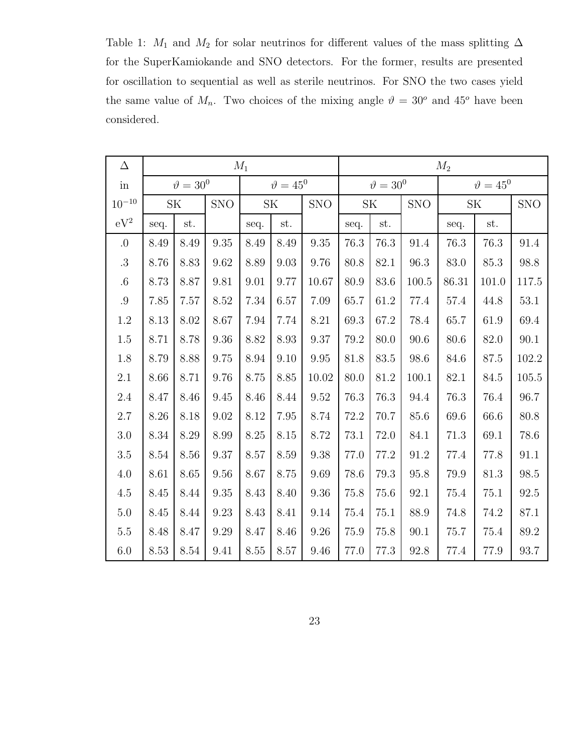Table 1:  $M_1$  and  $M_2$  for solar neutrinos for different values of the mass splitting  $\Delta$ for the SuperKamiokande and SNO detectors. For the former, results are presented for oscillation to sequential as well as sterile neutrinos. For SNO the two cases yield the same value of  $M_n$ . Two choices of the mixing angle  $\vartheta = 30^{\circ}$  and  $45^{\circ}$  have been considered.

| $\Delta$            | $M_1$     |                  |            |          |                                   |                     | $M_2$            |      |            |                    |                                   |            |
|---------------------|-----------|------------------|------------|----------|-----------------------------------|---------------------|------------------|------|------------|--------------------|-----------------------------------|------------|
| $\operatorname{in}$ |           | $\vartheta=30^0$ |            |          | $\vartheta=45^0$                  |                     | $\vartheta=30^0$ |      |            | $\vartheta = 45^0$ |                                   |            |
| $10^{-10}\,$        | <b>SK</b> |                  | <b>SNO</b> |          | $\ensuremath{\mathbf{SK}}\xspace$ | <b>SNO</b>          | <b>SK</b>        |      | <b>SNO</b> |                    | $\ensuremath{\mathbf{SK}}\xspace$ | <b>SNO</b> |
| $eV^2$              | seq.      | st.              |            | seq.     | st.                               |                     | seq.             | st.  |            | seq.               | $\operatorname{st.}$              |            |
| $\cdot 0$           | 8.49      | 8.49             | 9.35       | 8.49     | 8.49                              | $\boldsymbol{9.35}$ | 76.3             | 76.3 | 91.4       | 76.3               | 76.3                              | 91.4       |
| $.3\,$              | 8.76      | 8.83             | 9.62       | 8.89     | 9.03                              | 9.76                | 80.8             | 82.1 | 96.3       | 83.0               | 85.3                              | 98.8       |
| $.6\,$              | 8.73      | 8.87             | 9.81       | 9.01     | 9.77                              | 10.67               | 80.9             | 83.6 | 100.5      | 86.31              | 101.0                             | $117.5\,$  |
| $.9\,$              | 7.85      | 7.57             | 8.52       | 7.34     | 6.57                              | 7.09                | 65.7             | 61.2 | 77.4       | $57.4\,$           | 44.8                              | $53.1\,$   |
| $1.2\,$             | 8.13      | 8.02             | 8.67       | 7.94     | 7.74                              | 8.21                | 69.3             | 67.2 | 78.4       | 65.7               | 61.9                              | 69.4       |
| $1.5\,$             | 8.71      | 8.78             | $9.36\,$   | 8.82     | $8.93\,$                          | $\rm 9.37$          | 79.2             | 80.0 | 90.6       | 80.6               | 82.0                              | 90.1       |
| 1.8                 | 8.79      | 8.88             | 9.75       | 8.94     | 9.10                              | 9.95                | 81.8             | 83.5 | 98.6       | 84.6               | 87.5                              | 102.2      |
| 2.1                 | 8.66      | 8.71             | 9.76       | 8.75     | 8.85                              | 10.02               | 80.0             | 81.2 | 100.1      | 82.1               | 84.5                              | 105.5      |
| 2.4                 | 8.47      | 8.46             | 9.45       | 8.46     | 8.44                              | 9.52                | 76.3             | 76.3 | 94.4       | 76.3               | 76.4                              | 96.7       |
| 2.7                 | 8.26      | 8.18             | 9.02       | 8.12     | 7.95                              | 8.74                | 72.2             | 70.7 | 85.6       | 69.6               | 66.6                              | 80.8       |
| $3.0\,$             | 8.34      | 8.29             | 8.99       | $8.25\,$ | 8.15                              | $8.72\,$            | 73.1             | 72.0 | 84.1       | 71.3               | 69.1                              | 78.6       |
| $3.5\,$             | 8.54      | 8.56             | 9.37       | 8.57     | 8.59                              | 9.38                | 77.0             | 77.2 | 91.2       | 77.4               | 77.8                              | 91.1       |
| $4.0\,$             | 8.61      | 8.65             | 9.56       | 8.67     | 8.75                              | 9.69                | 78.6             | 79.3 | 95.8       | 79.9               | 81.3                              | $98.5\,$   |
| $4.5\,$             | 8.45      | 8.44             | 9.35       | 8.43     | 8.40                              | 9.36                | 75.8             | 75.6 | 92.1       | 75.4               | 75.1                              | $92.5\,$   |
| $5.0\,$             | 8.45      | 8.44             | 9.23       | 8.43     | 8.41                              | $9.14\,$            | 75.4             | 75.1 | 88.9       | 74.8               | 74.2                              | $87.1\,$   |
| $5.5\,$             | 8.48      | 8.47             | 9.29       | 8.47     | 8.46                              | $9.26\,$            | 75.9             | 75.8 | 90.1       | 75.7               | 75.4                              | $89.2\,$   |
| $6.0\,$             | 8.53      | 8.54             | 9.41       | 8.55     | 8.57                              | 9.46                | $77.0\,$         | 77.3 | 92.8       | 77.4               | 77.9                              | 93.7       |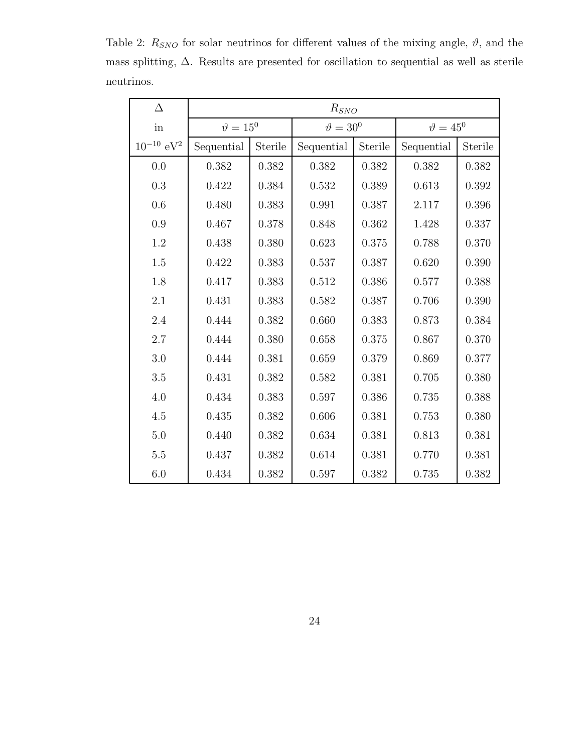| $\Delta$              | $R_{SNO}$          |         |                  |           |                    |         |  |  |
|-----------------------|--------------------|---------|------------------|-----------|--------------------|---------|--|--|
| in                    | $\vartheta = 15^0$ |         | $\vartheta=30^0$ |           | $\vartheta = 45^0$ |         |  |  |
| $10^{-10}~{\rm eV^2}$ | Sequential         | Sterile | Sequential       | Sterile   | Sequential         | Sterile |  |  |
| 0.0                   | $0.382\,$          | 0.382   | 0.382            | 0.382     | $0.382\,$          | 0.382   |  |  |
| $0.3\,$               | 0.422              | 0.384   | 0.532            | 0.389     | 0.613              | 0.392   |  |  |
| 0.6                   | 0.480              | 0.383   | 0.991            | 0.387     | 2.117              | 0.396   |  |  |
| 0.9                   | 0.467              | 0.378   | 0.848            | 0.362     | 1.428              | 0.337   |  |  |
| $1.2\,$               | 0.438              | 0.380   | 0.623            | 0.375     | 0.788              | 0.370   |  |  |
| 1.5                   | 0.422              | 0.383   | 0.537            | 0.387     | 0.620              | 0.390   |  |  |
| 1.8                   | 0.417              | 0.383   | 0.512            | 0.386     | 0.577              | 0.388   |  |  |
| 2.1                   | 0.431              | 0.383   | 0.582            | 0.387     | 0.706              | 0.390   |  |  |
| 2.4                   | 0.444              | 0.382   | 0.660            | 0.383     | 0.873              | 0.384   |  |  |
| 2.7                   | 0.444              | 0.380   | 0.658            | $0.375\,$ | 0.867              | 0.370   |  |  |
| 3.0                   | 0.444              | 0.381   | 0.659            | 0.379     | 0.869              | 0.377   |  |  |
| $3.5\,$               | 0.431              | 0.382   | 0.582            | 0.381     | 0.705              | 0.380   |  |  |
| 4.0                   | 0.434              | 0.383   | 0.597            | 0.386     | 0.735              | 0.388   |  |  |
| $4.5\,$               | 0.435              | 0.382   | 0.606            | 0.381     | 0.753              | 0.380   |  |  |
| 5.0                   | 0.440              | 0.382   | 0.634            | 0.381     | 0.813              | 0.381   |  |  |
| $5.5\,$               | 0.437              | 0.382   | 0.614            | 0.381     | 0.770              | 0.381   |  |  |
| 6.0                   | 0.434              | 0.382   | 0.597            | 0.382     | 0.735              | 0.382   |  |  |

Table 2:  $R_{SNO}$  for solar neutrinos for different values of the mixing angle,  $\vartheta$ , and the mass splitting, ∆. Results are presented for oscillation to sequential as well as sterile neutrinos.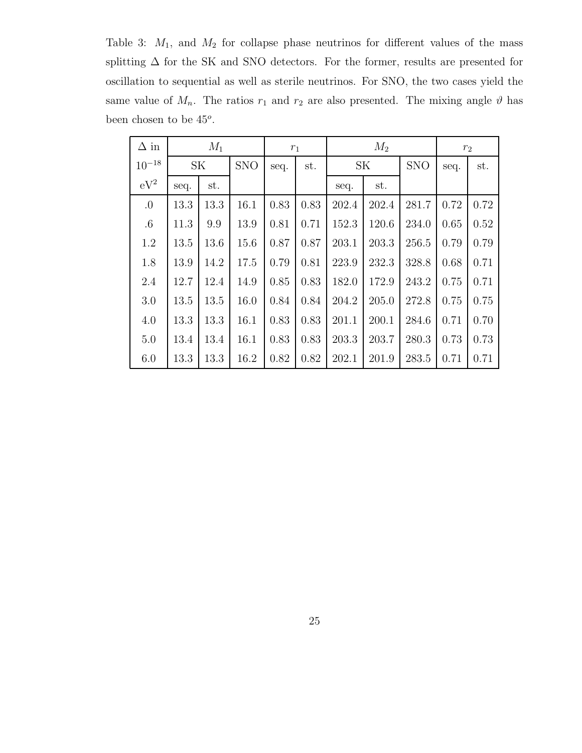Table 3:  $M_1$ , and  $M_2$  for collapse phase neutrinos for different values of the mass splitting  $\Delta$  for the SK and SNO detectors. For the former, results are presented for oscillation to sequential as well as sterile neutrinos. For SNO, the two cases yield the same value of  $M_n$ . The ratios  $r_1$  and  $r_2$  are also presented. The mixing angle  $\vartheta$  has been chosen to be  $45^o$ .

| $\Delta$ in |      | $M_1$     |            |      | $r_1$ | $M_2$ |           |            | r <sub>2</sub> |      |
|-------------|------|-----------|------------|------|-------|-------|-----------|------------|----------------|------|
| $10^{-18}$  |      | <b>SK</b> | <b>SNO</b> | seq. | st.   |       | <b>SK</b> | <b>SNO</b> | seq.           | st.  |
| $eV^2$      | seq. | st.       |            |      |       | seq.  | st.       |            |                |      |
| 0.          | 13.3 | 13.3      | 16.1       | 0.83 | 0.83  | 202.4 | 202.4     | 281.7      | 0.72           | 0.72 |
| $.6\,$      | 11.3 | 9.9       | 13.9       | 0.81 | 0.71  | 152.3 | 120.6     | 234.0      | 0.65           | 0.52 |
| 1.2         | 13.5 | 13.6      | 15.6       | 0.87 | 0.87  | 203.1 | 203.3     | 256.5      | 0.79           | 0.79 |
| 1.8         | 13.9 | 14.2      | 17.5       | 0.79 | 0.81  | 223.9 | 232.3     | 328.8      | 0.68           | 0.71 |
| 2.4         | 12.7 | 12.4      | 14.9       | 0.85 | 0.83  | 182.0 | 172.9     | 243.2      | 0.75           | 0.71 |
| 3.0         | 13.5 | 13.5      | 16.0       | 0.84 | 0.84  | 204.2 | 205.0     | 272.8      | 0.75           | 0.75 |
| 4.0         | 13.3 | 13.3      | 16.1       | 0.83 | 0.83  | 201.1 | 200.1     | 284.6      | 0.71           | 0.70 |
| 5.0         | 13.4 | 13.4      | 16.1       | 0.83 | 0.83  | 203.3 | 203.7     | 280.3      | 0.73           | 0.73 |
| 6.0         | 13.3 | 13.3      | 16.2       | 0.82 | 0.82  | 202.1 | 201.9     | 283.5      | 0.71           | 0.71 |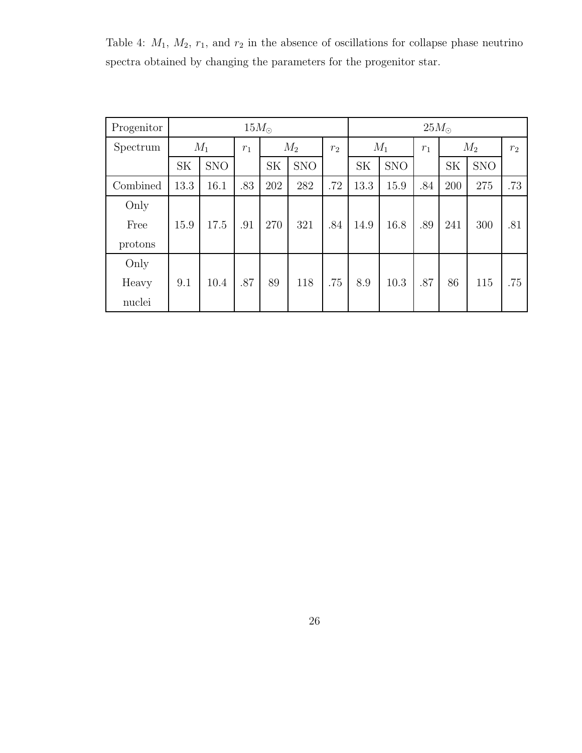Table 4:  $M_1$ ,  $M_2$ ,  $r_1$ , and  $r_2$  in the absence of oscillations for collapse phase neutrino spectra obtained by changing the parameters for the progenitor star.

| Progenitor |           | $15M_{\odot}$ |       |           |            |       |           | $25M_{\odot}$  |     |           |            |                |
|------------|-----------|---------------|-------|-----------|------------|-------|-----------|----------------|-----|-----------|------------|----------------|
| Spectrum   |           | $M_1$         | $r_1$ |           | $M_2$      | $r_2$ |           | $M_1$<br>$r_1$ |     |           | $M_2$      | r <sub>2</sub> |
|            | <b>SK</b> | <b>SNO</b>    |       | <b>SK</b> | <b>SNO</b> |       | <b>SK</b> | <b>SNO</b>     |     | <b>SK</b> | <b>SNO</b> |                |
| Combined   | 13.3      | 16.1          | .83   | 202       | 282        | .72   | 13.3      | 15.9           | .84 | 200       | 275        | .73            |
| Only       |           |               |       |           |            |       |           |                |     |           |            |                |
| Free       | 15.9      | 17.5          | .91   | 270       | 321        | .84   | 14.9      | 16.8           | .89 | 241       | 300        | .81            |
| protons    |           |               |       |           |            |       |           |                |     |           |            |                |
| Only       |           |               |       |           |            |       |           |                |     |           |            |                |
| Heavy      | 9.1       | 10.4          | .87   | 89        | 118        | .75   | 8.9       | 10.3           | .87 | 86        | 115        | .75            |
| nuclei     |           |               |       |           |            |       |           |                |     |           |            |                |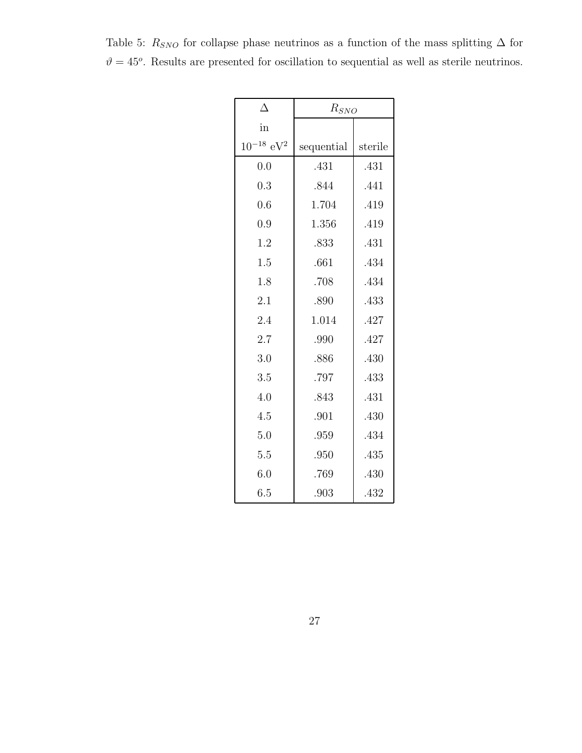| Δ                          | $R_{SNO}$  |         |
|----------------------------|------------|---------|
| in                         |            |         |
| $10^{-18}$ eV <sup>2</sup> | sequential | sterile |
| 0.0                        | .431       | .431    |
| 0.3                        | .844       | .441    |
| 0.6                        | 1.704      | .419    |
| 0.9                        | 1.356      | .419    |
| 1.2                        | .833       | .431    |
| 1.5                        | .661       | .434    |
| 1.8                        | .708       | .434    |
| 2.1                        | .890       | .433    |
| 2.4                        | 1.014      | .427    |
| 2.7                        | .990       | .427    |
| 3.0                        | .886       | .430    |
| 3.5                        | .797       | .433    |
| 4.0                        | .843       | .431    |
| 4.5                        | .901       | .430    |
| 5.0                        | .959       | .434    |
| 5.5                        | .950       | .435    |
| 6.0                        | .769       | .430    |
| 6.5                        | .903       | .432    |

Table 5:  $R_{SNO}$  for collapse phase neutrinos as a function of the mass splitting  $\Delta$  for  $\vartheta = 45^{\circ}$ . Results are presented for oscillation to sequential as well as sterile neutrinos.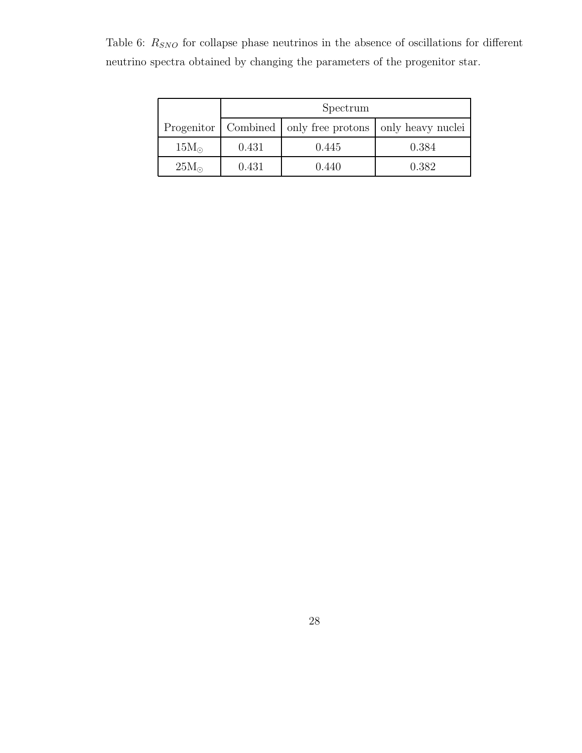Table 6:  $\mathcal{R}_{SNO}$  for collapse phase neutrinos in the absence of oscillations for different neutrino spectra obtained by changing the parameters of the progenitor star.

|               | Spectrum |                                                               |       |  |  |  |  |  |
|---------------|----------|---------------------------------------------------------------|-------|--|--|--|--|--|
|               |          | Progenitor   Combined   only free protons   only heavy nuclei |       |  |  |  |  |  |
| $15M_{\odot}$ | 0.431    | 0.445                                                         | 0.384 |  |  |  |  |  |
| $25M_{\odot}$ | 0.431    | 0.440                                                         | 0.382 |  |  |  |  |  |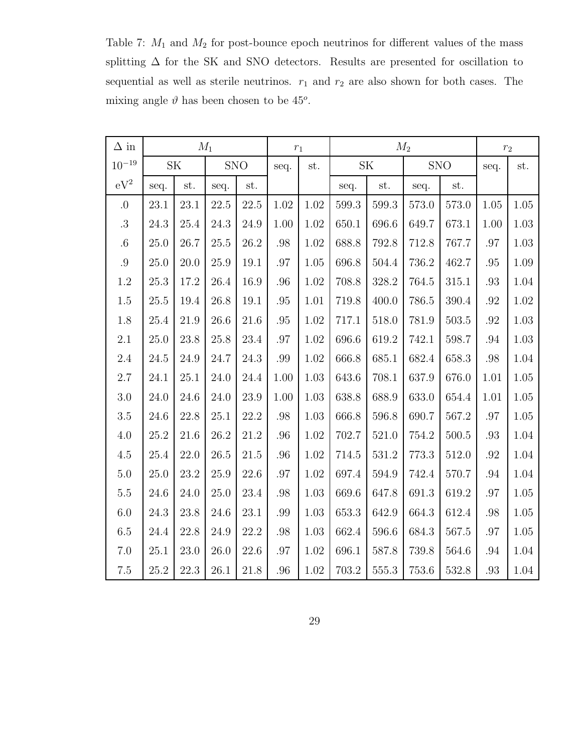Table 7:  $M_1$  and  $M_2$  for post-bounce epoch neutrinos for different values of the mass splitting  $\Delta$  for the SK and SNO detectors. Results are presented for oscillation to sequential as well as sterile neutrinos.  $r_1$  and  $r_2$  are also shown for both cases. The mixing angle  $\vartheta$  has been chosen to be 45<sup>o</sup>.

| $\Delta$ in  |      |           | $M_1$    |            |          | $r_1$    |       | $M_2$ |       | $r_{\rm 2}$ |          |          |
|--------------|------|-----------|----------|------------|----------|----------|-------|-------|-------|-------------|----------|----------|
| $10^{-19}\,$ |      | <b>SK</b> |          | <b>SNO</b> | seq.     | st.      |       | SK    |       | <b>SNO</b>  | seq.     | st.      |
| $eV^2$       | seq. | st.       | seq.     | st.        |          |          | seq.  | st.   | seq.  | st.         |          |          |
| $.0\,$       | 23.1 | 23.1      | 22.5     | 22.5       | $1.02\,$ | 1.02     | 599.3 | 599.3 | 573.0 | 573.0       | $1.05\,$ | $1.05\,$ |
| $.3\,$       | 24.3 | 25.4      | 24.3     | 24.9       | 1.00     | 1.02     | 650.1 | 696.6 | 649.7 | 673.1       | 1.00     | 1.03     |
| $.6\,$       | 25.0 | 26.7      | 25.5     | 26.2       | $.98\,$  | 1.02     | 688.8 | 792.8 | 712.8 | 767.7       | $.97\,$  | 1.03     |
| $.9\,$       | 25.0 | 20.0      | 25.9     | 19.1       | .97      | $1.05\,$ | 696.8 | 504.4 | 736.2 | 462.7       | .95      | 1.09     |
| $1.2\,$      | 25.3 | 17.2      | 26.4     | 16.9       | .96      | 1.02     | 708.8 | 328.2 | 764.5 | 315.1       | .93      | 1.04     |
| $1.5\,$      | 25.5 | 19.4      | 26.8     | 19.1       | .95      | 1.01     | 719.8 | 400.0 | 786.5 | $390.4\,$   | .92      | 1.02     |
| $1.8\,$      | 25.4 | 21.9      | 26.6     | 21.6       | .95      | 1.02     | 717.1 | 518.0 | 781.9 | 503.5       | .92      | 1.03     |
| $2.1\,$      | 25.0 | 23.8      | 25.8     | 23.4       | .97      | 1.02     | 696.6 | 619.2 | 742.1 | 598.7       | .94      | 1.03     |
| 2.4          | 24.5 | 24.9      | 24.7     | 24.3       | .99      | 1.02     | 666.8 | 685.1 | 682.4 | 658.3       | .98      | 1.04     |
| 2.7          | 24.1 | 25.1      | 24.0     | 24.4       | 1.00     | 1.03     | 643.6 | 708.1 | 637.9 | 676.0       | 1.01     | 1.05     |
| $3.0\,$      | 24.0 | 24.6      | 24.0     | 23.9       | 1.00     | 1.03     | 638.8 | 688.9 | 633.0 | 654.4       | 1.01     | 1.05     |
| $3.5\,$      | 24.6 | 22.8      | 25.1     | 22.2       | .98      | 1.03     | 666.8 | 596.8 | 690.7 | 567.2       | .97      | 1.05     |
| $4.0\,$      | 25.2 | 21.6      | 26.2     | 21.2       | .96      | 1.02     | 702.7 | 521.0 | 754.2 | 500.5       | .93      | 1.04     |
| $4.5\,$      | 25.4 | 22.0      | $26.5\,$ | 21.5       | .96      | 1.02     | 714.5 | 531.2 | 773.3 | 512.0       | .92      | $1.04\,$ |
| $5.0\,$      | 25.0 | 23.2      | 25.9     | 22.6       | .97      | 1.02     | 697.4 | 594.9 | 742.4 | 570.7       | .94      | 1.04     |
| $5.5\,$      | 24.6 | 24.0      | 25.0     | 23.4       | .98      | 1.03     | 669.6 | 647.8 | 691.3 | 619.2       | .97      | 1.05     |
| $6.0\,$      | 24.3 | 23.8      | 24.6     | 23.1       | $.99\,$  | $1.03\,$ | 653.3 | 642.9 | 664.3 | 612.4       | .98      | 1.05     |
| $6.5\,$      | 24.4 | 22.8      | 24.9     | 22.2       | .98      | 1.03     | 662.4 | 596.6 | 684.3 | 567.5       | .97      | 1.05     |
| $7.0\,$      | 25.1 | 23.0      | 26.0     | 22.6       | .97      | 1.02     | 696.1 | 587.8 | 739.8 | 564.6       | .94      | 1.04     |
| $7.5\,$      | 25.2 | 22.3      | 26.1     | 21.8       | .96      | 1.02     | 703.2 | 555.3 | 753.6 | 532.8       | $.93\,$  | 1.04     |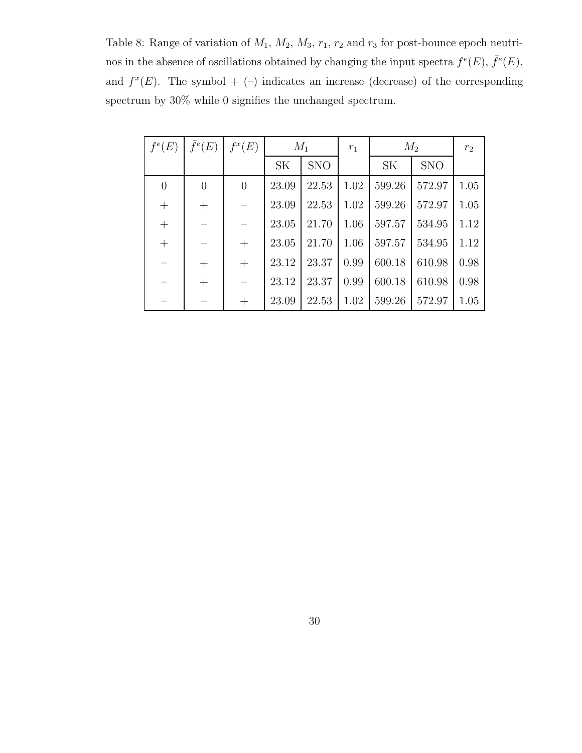Table 8: Range of variation of  $M_1$ ,  $M_2$ ,  $M_3$ ,  $r_1$ ,  $r_2$  and  $r_3$  for post-bounce epoch neutrinos in the absence of oscillations obtained by changing the input spectra  $f^e(E)$ ,  $\bar{f}^e(E)$ , and  $f^x(E)$ . The symbol + (-) indicates an increase (decrease) of the corresponding spectrum by 30% while 0 signifies the unchanged spectrum.

| $f^e(E)$       | $\bar{f}^e(E)$ | $f^x(E)$       | $M_1$     |            | $r_1$ | $M_2$     |            | $r_2$ |
|----------------|----------------|----------------|-----------|------------|-------|-----------|------------|-------|
|                |                |                | <b>SK</b> | <b>SNO</b> |       | <b>SK</b> | <b>SNO</b> |       |
| $\theta$       | $\overline{0}$ | $\overline{0}$ | 23.09     | 22.53      | 1.02  | 599.26    | 572.97     | 1.05  |
| $\! + \!$      |                |                | 23.09     | 22.53      | 1.02  | 599.26    | 572.97     | 1.05  |
| $\overline{+}$ |                |                | 23.05     | 21.70      | 1.06  | 597.57    | 534.95     | 1.12  |
| $\overline{+}$ |                | $^{+}$         | 23.05     | 21.70      | 1.06  | 597.57    | 534.95     | 1.12  |
|                | $^{+}$         | $^{+}$         | 23.12     | 23.37      | 0.99  | 600.18    | 610.98     | 0.98  |
|                | $^{+}$         |                | 23.12     | 23.37      | 0.99  | 600.18    | 610.98     | 0.98  |
|                |                | $\overline{+}$ | 23.09     | 22.53      | 1.02  | 599.26    | 572.97     | 1.05  |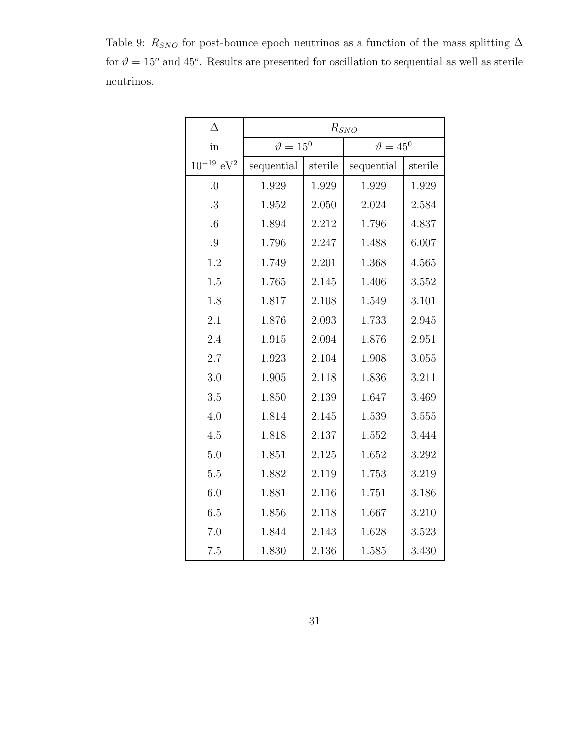Table 9: $R_{SNO}$  for post-bounce epoch neutrinos as a function of the mass splitting  $\Delta$ for  $\vartheta = 15^{\circ}$  and 45<sup>o</sup>. Results are presented for oscillation to sequential as well as sterile neutrinos.

| Δ                          | $R_{SNO}$        |         |                    |         |  |  |  |
|----------------------------|------------------|---------|--------------------|---------|--|--|--|
| in                         | $\vartheta=15^0$ |         | $\vartheta = 45^0$ |         |  |  |  |
| $10^{-19}$ eV <sup>2</sup> | sequential       | sterile | sequential         | sterile |  |  |  |
| $\Omega$ .                 | 1.929            | 1.929   | 1.929              | 1.929   |  |  |  |
| .3                         | 1.952            | 2.050   | 2.024              | 2.584   |  |  |  |
| $.6\,$                     | 1.894            | 2.212   | 1.796              | 4.837   |  |  |  |
| .9                         | 1.796            | 2.247   | 1.488              | 6.007   |  |  |  |
| 1.2                        | 1.749            | 2.201   | 1.368              | 4.565   |  |  |  |
| 1.5                        | 1.765            | 2.145   | 1.406              | 3.552   |  |  |  |
| 1.8                        | 1.817            | 2.108   | 1.549              | 3.101   |  |  |  |
| 2.1                        | 1.876            | 2.093   | 1.733              | 2.945   |  |  |  |
| 2.4                        | 1.915            | 2.094   | 1.876              | 2.951   |  |  |  |
| 2.7                        | 1.923            | 2.104   | 1.908              | 3.055   |  |  |  |
| 3.0                        | 1.905            | 2.118   | 1.836              | 3.211   |  |  |  |
| 3.5                        | 1.850            | 2.139   | 1.647              | 3.469   |  |  |  |
| 4.0                        | 1.814            | 2.145   | 1.539              | 3.555   |  |  |  |
| 4.5                        | 1.818            | 2.137   | 1.552              | 3.444   |  |  |  |
| 5.0                        | 1.851            | 2.125   | 1.652              | 3.292   |  |  |  |
| 5.5                        | 1.882            | 2.119   | 1.753              | 3.219   |  |  |  |
| 6.0                        | 1.881            | 2.116   | 1.751              | 3.186   |  |  |  |
| 6.5                        | 1.856            | 2.118   | 1.667              | 3.210   |  |  |  |
| 7.0                        | 1.844            | 2.143   | 1.628              | 3.523   |  |  |  |
| 7.5                        | 1.830            | 2.136   | 1.585              | 3.430   |  |  |  |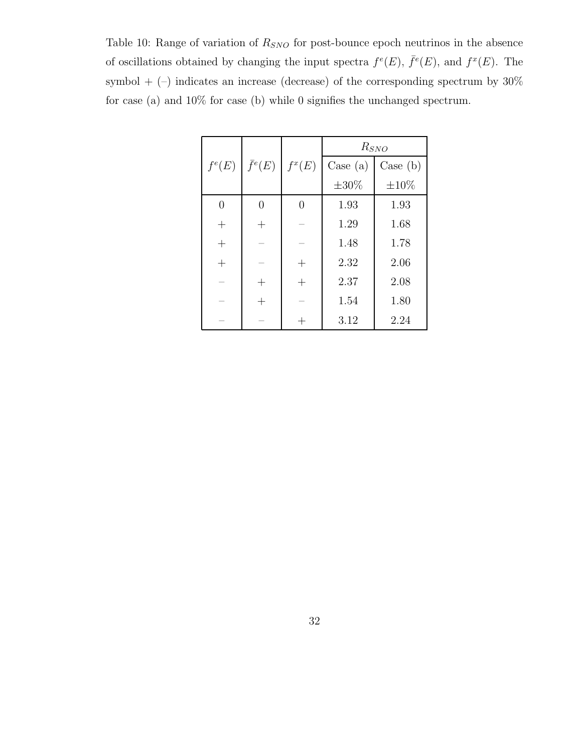Table 10: Range of variation of  $R_{SNO}$  for post-bounce epoch neutrinos in the absence of oscillations obtained by changing the input spectra  $f^e(E)$ ,  $\bar{f}^e(E)$ , and  $f^x(E)$ . The symbol  $+$  (–) indicates an increase (decrease) of the corresponding spectrum by  $30\%$ for case (a) and 10% for case (b) while 0 signifies the unchanged spectrum.

|                |                |                    | $R_{SNO}$  |            |  |  |
|----------------|----------------|--------------------|------------|------------|--|--|
| $f^e(E)$       | $\bar{f}^e(E)$ | $f^x(E)$           | Case $(a)$ | Case (b)   |  |  |
|                |                |                    | $\pm 30\%$ | $\pm 10\%$ |  |  |
| $\overline{0}$ | $\Omega$       | $\theta$           | 1.93       | 1.93       |  |  |
| $^{+}$         | $^{+}$         |                    | 1.29       | 1.68       |  |  |
| $+$            |                |                    | 1.48       | 1.78       |  |  |
| $+$            |                | $\hspace{0.1mm} +$ | 2.32       | 2.06       |  |  |
|                | $^+$           | $^{+}$             | 2.37       | 2.08       |  |  |
|                | $^{+}$         |                    | 1.54       | 1.80       |  |  |
|                |                |                    | 3.12       | 2.24       |  |  |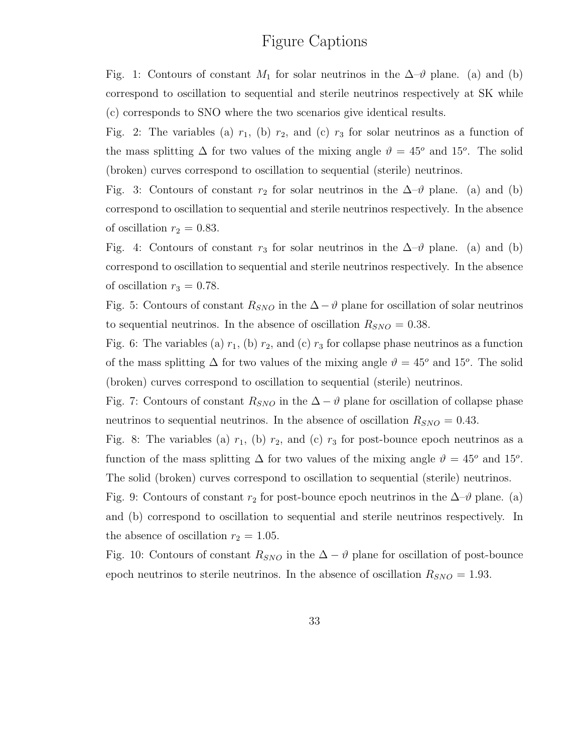## Figure Captions

Fig. 1: Contours of constant  $M_1$  for solar neutrinos in the  $\Delta \neg \vartheta$  plane. (a) and (b) correspond to oscillation to sequential and sterile neutrinos respectively at SK while (c) corresponds to SNO where the two scenarios give identical results.

Fig. 2: The variables (a)  $r_1$ , (b)  $r_2$ , and (c)  $r_3$  for solar neutrinos as a function of the mass splitting  $\Delta$  for two values of the mixing angle  $\vartheta = 45^{\circ}$  and 15<sup>o</sup>. The solid (broken) curves correspond to oscillation to sequential (sterile) neutrinos.

Fig. 3: Contours of constant  $r_2$  for solar neutrinos in the  $\Delta \neg \vartheta$  plane. (a) and (b) correspond to oscillation to sequential and sterile neutrinos respectively. In the absence of oscillation  $r_2 = 0.83$ .

Fig. 4: Contours of constant  $r_3$  for solar neutrinos in the  $\Delta \neg \vartheta$  plane. (a) and (b) correspond to oscillation to sequential and sterile neutrinos respectively. In the absence of oscillation  $r_3 = 0.78$ .

Fig. 5: Contours of constant  $R_{SNO}$  in the  $\Delta - \vartheta$  plane for oscillation of solar neutrinos to sequential neutrinos. In the absence of oscillation  $R_{SNO} = 0.38$ .

Fig. 6: The variables (a)  $r_1$ , (b)  $r_2$ , and (c)  $r_3$  for collapse phase neutrinos as a function of the mass splitting  $\Delta$  for two values of the mixing angle  $\vartheta = 45^{\circ}$  and 15°. The solid (broken) curves correspond to oscillation to sequential (sterile) neutrinos.

Fig. 7: Contours of constant  $R_{SNO}$  in the  $\Delta - \vartheta$  plane for oscillation of collapse phase neutrinos to sequential neutrinos. In the absence of oscillation  $R_{SNO} = 0.43$ .

Fig. 8: The variables (a)  $r_1$ , (b)  $r_2$ , and (c)  $r_3$  for post-bounce epoch neutrinos as a function of the mass splitting  $\Delta$  for two values of the mixing angle  $\vartheta = 45^{\circ}$  and 15<sup>o</sup>. The solid (broken) curves correspond to oscillation to sequential (sterile) neutrinos.

Fig. 9: Contours of constant  $r_2$  for post-bounce epoch neutrinos in the  $\Delta-\vartheta$  plane. (a) and (b) correspond to oscillation to sequential and sterile neutrinos respectively. In the absence of oscillation  $r_2 = 1.05$ .

Fig. 10: Contours of constant  $R_{SNO}$  in the  $\Delta - \vartheta$  plane for oscillation of post-bounce epoch neutrinos to sterile neutrinos. In the absence of oscillation  $R_{SNO} = 1.93$ .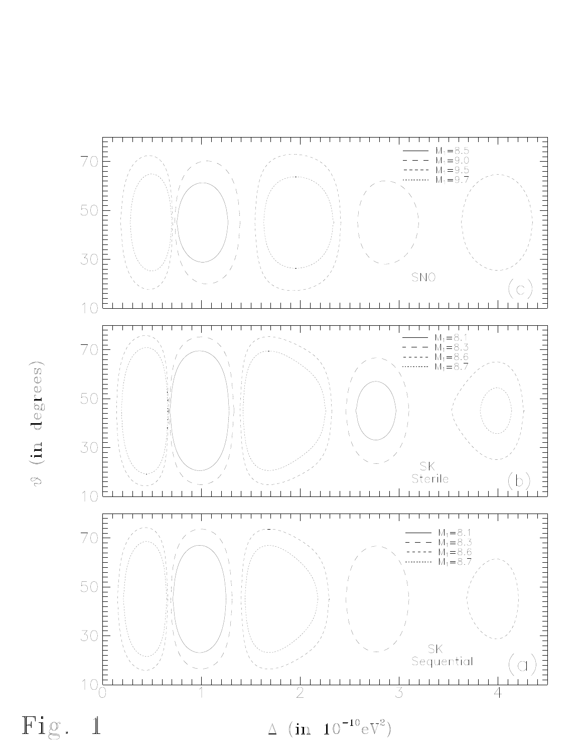

 $\vartheta$  (in degrees)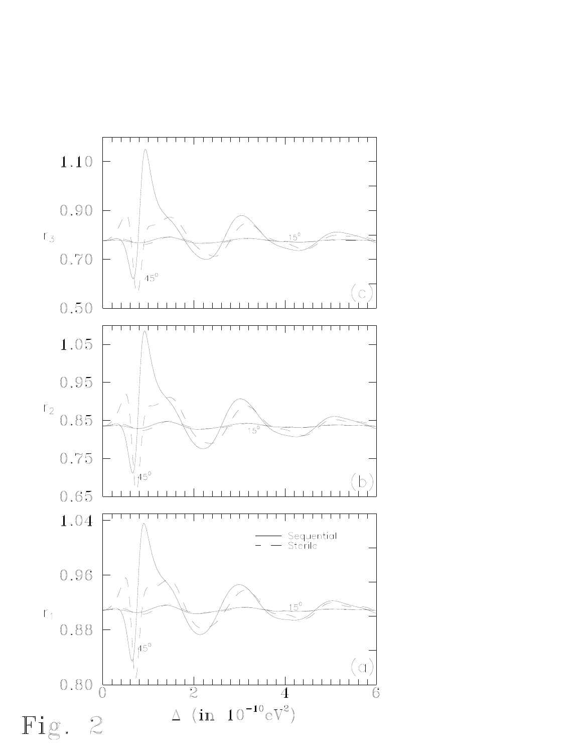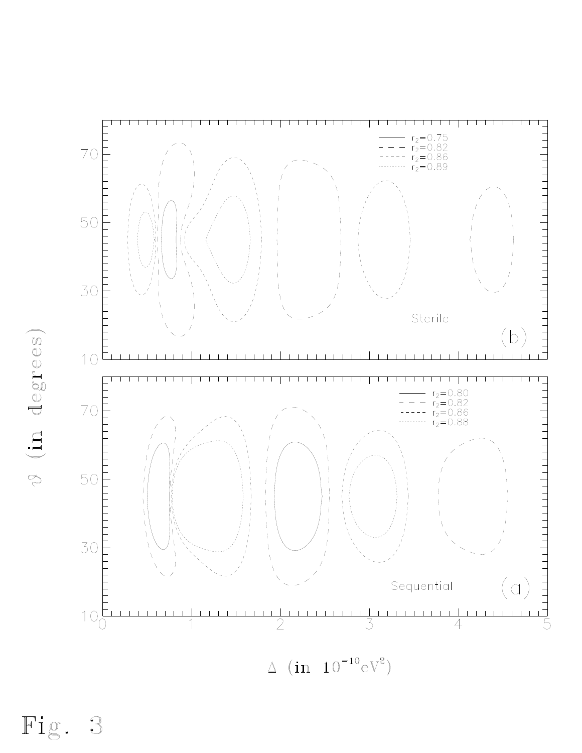

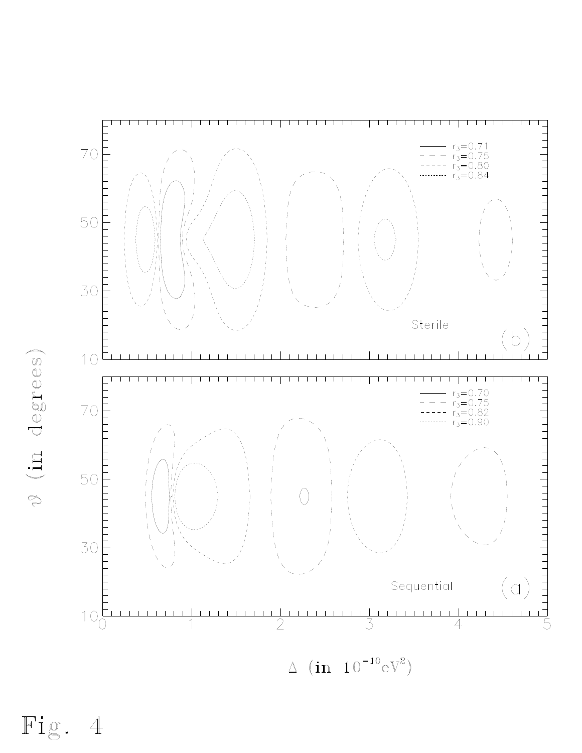

 $\vartheta$  (in degrees)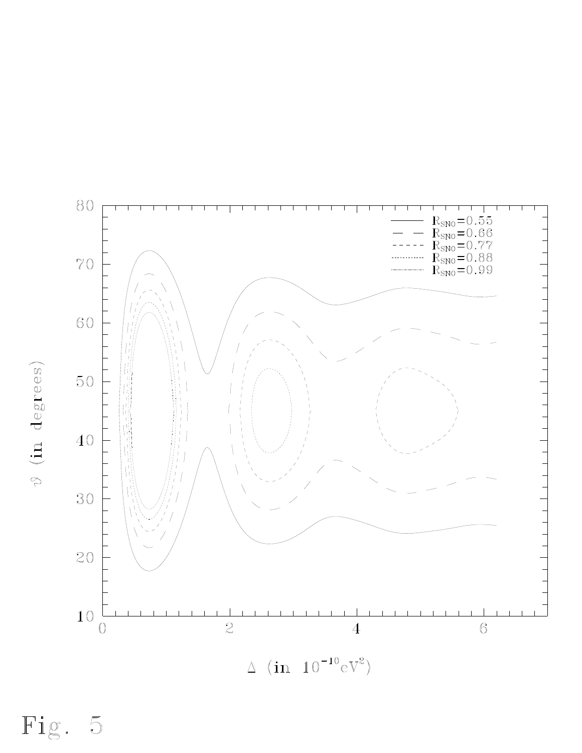80  $R_{\rm SNO}\!=\!0.55\\ R_{\rm SNO}\!=\!0.66\\ R_{\rm SNO}\!=\!0.77\\ R_{\rm SNO}\!=\!0.88\\ R_{\rm SNO}\!=\!0.99$  $70\,$ 60 50 40 30 20  $10\,$  $\overline{2}$  $\overline{0}$  $\overline{6}$  $\overline{4}$  $\Delta$  (in  $10^{-10}$ eV<sup>2</sup>)

Fig. 5

 $\vartheta$  (in degrees)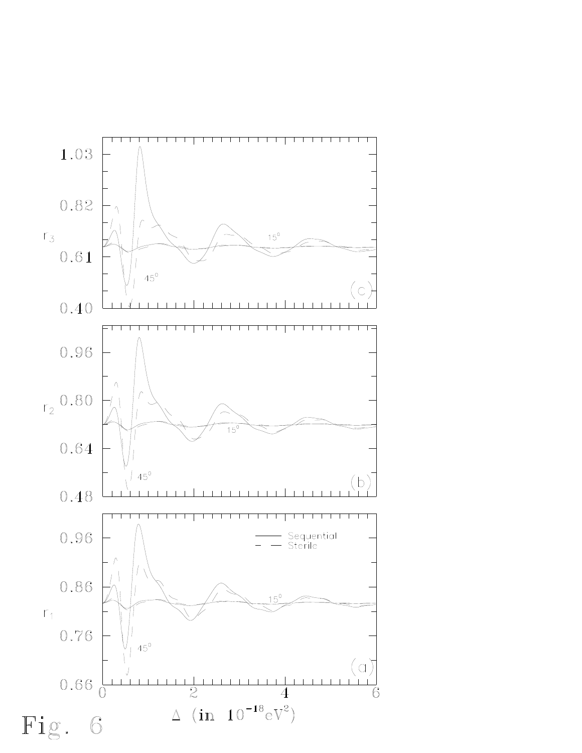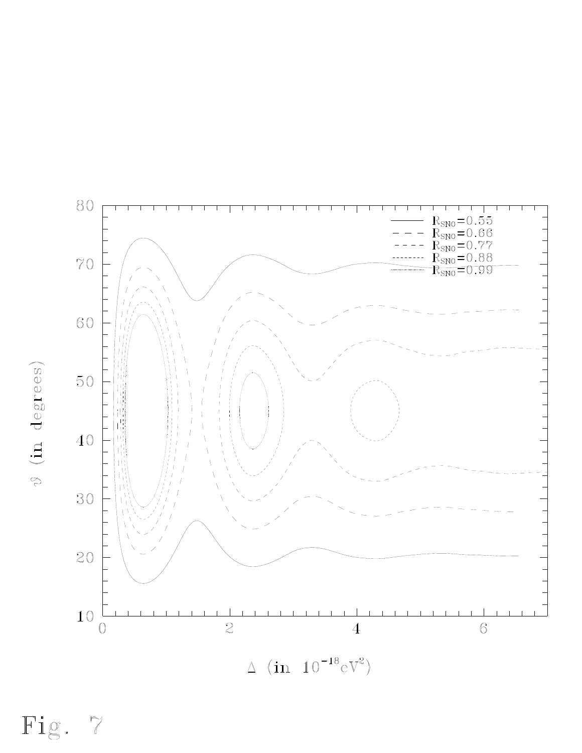

 $\vartheta$  (in degrees)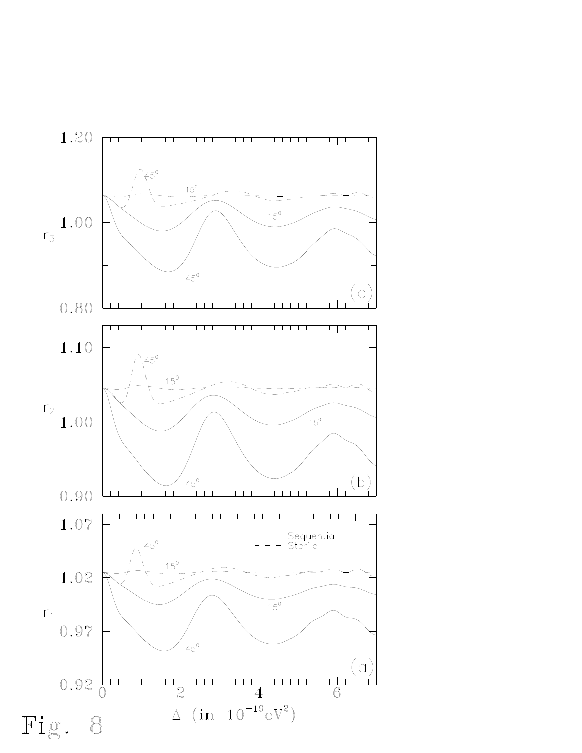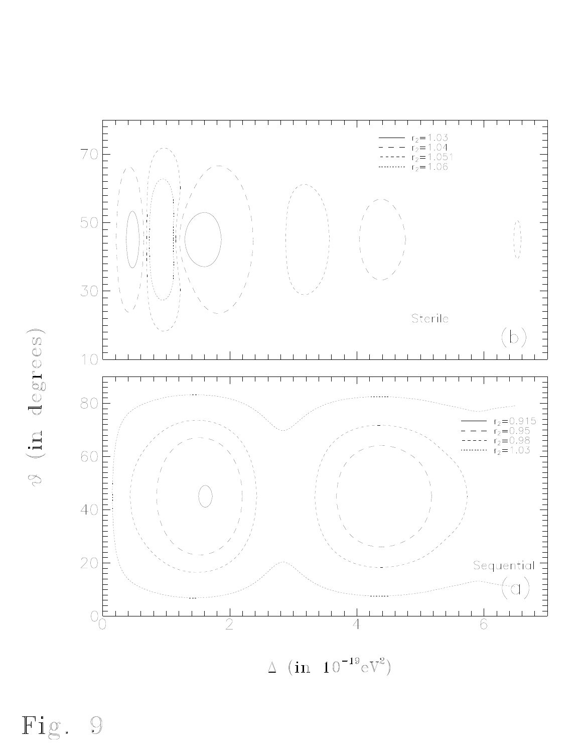

 $\Delta$  (in  $10^{-19} \text{eV}^2$ )

Fig.  $\bigcirc$ 

V (in degrees)